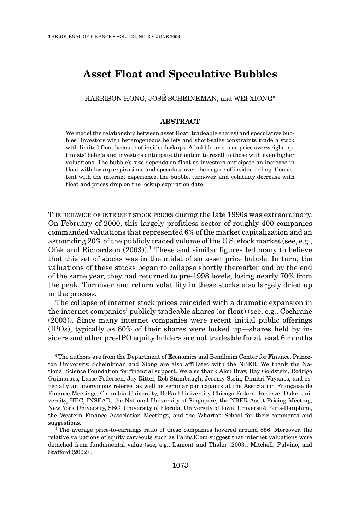# **Asset Float and Speculative Bubbles**

HARRISON HONG, JOSÉ SCHEINKMAN, and WEI XIONG\*

#### **ABSTRACT**

We model the relationship between asset float (tradeable shares) and speculative bubbles. Investors with heterogeneous beliefs and short-sales constraints trade a stock with limited float because of insider lockups. A bubble arises as price overweighs optimists' beliefs and investors anticipate the option to resell to those with even higher valuations. The bubble's size depends on float as investors anticipate an increase in float with lockup expirations and speculate over the degree of insider selling. Consistent with the internet experience, the bubble, turnover, and volatility decrease with float and prices drop on the lockup expiration date.

THE BEHAVIOR OF INTERNET STOCK PRICES during the late 1990s was extraordinary. On February of 2000, this largely profitless sector of roughly 400 companies commanded valuations that represented 6% of the market capitalization and an astounding 20% of the publicly traded volume of the U.S. stock market (see, e.g., Ofek and Richardson  $(2003)$ <sup>1</sup>. These and similar figures led many to believe that this set of stocks was in the midst of an asset price bubble. In turn, the valuations of these stocks began to collapse shortly thereafter and by the end of the same year, they had returned to pre-1998 levels, losing nearly 70% from the peak. Turnover and return volatility in these stocks also largely dried up in the process.

The collapse of internet stock prices coincided with a dramatic expansion in the internet companies' publicly tradeable shares (or float) (see, e.g., Cochrane (2003)). Since many internet companies were recent initial public offerings (IPOs), typically as 80% of their shares were locked up—shares held by insiders and other pre-IPO equity holders are not tradeable for at least 6 months

∗The authors are from the Department of Economics and Bendheim Center for Finance, Princeton University. Scheinkman and Xiong are also affiliated with the NBER. We thank the National Science Foundation for financial support. We also thank Alon Brav, Itay Goldstein, Rodrigo Guimaraes, Lasse Pedersen, Jay Ritter, Rob Stambaugh, Jeremy Stein, Dimitri Vayanos, and especially an anonymous referee, as well as seminar participants at the Association Française de Finance Meetings, Columbia University, DePaul University-Chicago Federal Reserve, Duke University, HEC, INSEAD, the National University of Singapore, the NBER Asset Pricing Meeting, New York University, SEC, University of Florida, University of Iowa, Universite Paris-Dauphine, ´ the Western Finance Association Meetings, and the Wharton School for their comments and suggestions.

<sup>1</sup> The average price-to-earnings ratio of these companies hovered around 856. Moreover, the relative valuations of equity carveouts such as Palm/3Com suggest that internet valuations were detached from fundamental value (see, e.g., Lamont and Thaler (2003), Mitchell, Pulvino, and Stafford (2002)).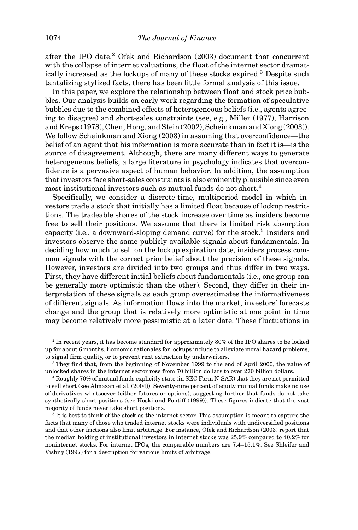after the IPO date.<sup>2</sup> Ofek and Richardson (2003) document that concurrent with the collapse of internet valuations, the float of the internet sector dramatically increased as the lockups of many of these stocks expired.<sup>3</sup> Despite such tantalizing stylized facts, there has been little formal analysis of this issue.

In this paper, we explore the relationship between float and stock price bubbles. Our analysis builds on early work regarding the formation of speculative bubbles due to the combined effects of heterogeneous beliefs (i.e., agents agreeing to disagree) and short-sales constraints (see, e.g., Miller (1977), Harrison and Kreps (1978), Chen, Hong, and Stein (2002), Scheinkman and Xiong (2003)). We follow Scheinkman and Xiong (2003) in assuming that overconfidence—the belief of an agent that his information is more accurate than in fact it is—is the source of disagreement. Although, there are many different ways to generate heterogeneous beliefs, a large literature in psychology indicates that overconfidence is a pervasive aspect of human behavior. In addition, the assumption that investors face short-sales constraints is also eminently plausible since even most institutional investors such as mutual funds do not short.<sup>4</sup>

Specifically, we consider a discrete-time, multiperiod model in which investors trade a stock that initially has a limited float because of lockup restrictions. The tradeable shares of the stock increase over time as insiders become free to sell their positions. We assume that there is limited risk absorption capacity (i.e., a downward-sloping demand curve) for the stock.<sup>5</sup> Insiders and investors observe the same publicly available signals about fundamentals. In deciding how much to sell on the lockup expiration date, insiders process common signals with the correct prior belief about the precision of these signals. However, investors are divided into two groups and thus differ in two ways. First, they have different initial beliefs about fundamentals (i.e., one group can be generally more optimistic than the other). Second, they differ in their interpretation of these signals as each group overestimates the informativeness of different signals. As information flows into the market, investors' forecasts change and the group that is relatively more optimistic at one point in time may become relatively more pessimistic at a later date. These fluctuations in

 $^2$  In recent years, it has become standard for approximately 80% of the IPO shares to be locked up for about 6 months. Economic rationales for lockups include to alleviate moral hazard problems, to signal firm quality, or to prevent rent extraction by underwriters.

<sup>&</sup>lt;sup>3</sup> They find that, from the beginning of November 1999 to the end of April 2000, the value of unlocked shares in the internet sector rose from 70 billion dollars to over 270 billion dollars.

<sup>4</sup> Roughly 70% of mutual funds explicitly state (in SEC Form N-SAR) that they are not permitted to sell short (see Almazan et al. (2004)). Seventy-nine percent of equity mutual funds make no use of derivatives whatsoever (either futures or options), suggesting further that funds do not take synthetically short positions (see Koski and Pontiff (1999)). These figures indicate that the vast majority of funds never take short positions.

<sup>&</sup>lt;sup>5</sup> It is best to think of the stock as the internet sector. This assumption is meant to capture the facts that many of those who traded internet stocks were individuals with undiversified positions and that other frictions also limit arbitrage. For instance, Ofek and Richardson (2003) report that the median holding of institutional investors in internet stocks was 25.9% compared to 40.2% for noninternet stocks. For internet IPOs, the comparable numbers are 7.4–15.1%. See Shleifer and Vishny (1997) for a description for various limits of arbitrage.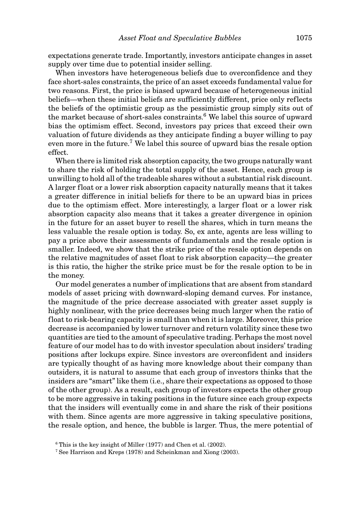expectations generate trade. Importantly, investors anticipate changes in asset supply over time due to potential insider selling.

When investors have heterogeneous beliefs due to overconfidence and they face short-sales constraints, the price of an asset exceeds fundamental value for two reasons. First, the price is biased upward because of heterogeneous initial beliefs—when these initial beliefs are sufficiently different, price only reflects the beliefs of the optimistic group as the pessimistic group simply sits out of the market because of short-sales constraints.<sup>6</sup> We label this source of upward bias the optimism effect. Second, investors pay prices that exceed their own valuation of future dividends as they anticipate finding a buyer willing to pay even more in the future.<sup>7</sup> We label this source of upward bias the resale option effect.

When there is limited risk absorption capacity, the two groups naturally want to share the risk of holding the total supply of the asset. Hence, each group is unwilling to hold all of the tradeable shares without a substantial risk discount. A larger float or a lower risk absorption capacity naturally means that it takes a greater difference in initial beliefs for there to be an upward bias in prices due to the optimism effect. More interestingly, a larger float or a lower risk absorption capacity also means that it takes a greater divergence in opinion in the future for an asset buyer to resell the shares, which in turn means the less valuable the resale option is today. So, ex ante, agents are less willing to pay a price above their assessments of fundamentals and the resale option is smaller. Indeed, we show that the strike price of the resale option depends on the relative magnitudes of asset float to risk absorption capacity—the greater is this ratio, the higher the strike price must be for the resale option to be in the money.

Our model generates a number of implications that are absent from standard models of asset pricing with downward-sloping demand curves. For instance, the magnitude of the price decrease associated with greater asset supply is highly nonlinear, with the price decreases being much larger when the ratio of float to risk-bearing capacity is small than when it is large. Moreover, this price decrease is accompanied by lower turnover and return volatility since these two quantities are tied to the amount of speculative trading. Perhaps the most novel feature of our model has to do with investor speculation about insiders' trading positions after lockups expire. Since investors are overconfident and insiders are typically thought of as having more knowledge about their company than outsiders, it is natural to assume that each group of investors thinks that the insiders are "smart" like them (i.e., share their expectations as opposed to those of the other group). As a result, each group of investors expects the other group to be more aggressive in taking positions in the future since each group expects that the insiders will eventually come in and share the risk of their positions with them. Since agents are more aggressive in taking speculative positions, the resale option, and hence, the bubble is larger. Thus, the mere potential of

<sup>6</sup> This is the key insight of Miller (1977) and Chen et al. (2002).

<sup>7</sup> See Harrison and Kreps (1978) and Scheinkman and Xiong (2003).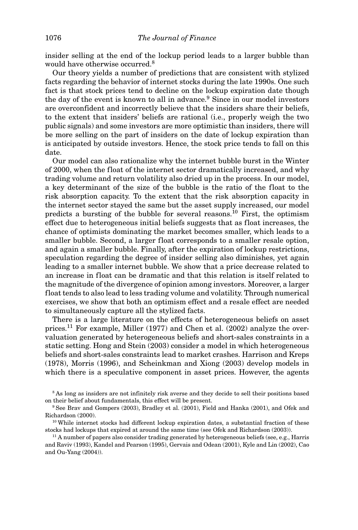insider selling at the end of the lockup period leads to a larger bubble than would have otherwise occurred.<sup>8</sup>

Our theory yields a number of predictions that are consistent with stylized facts regarding the behavior of internet stocks during the late 1990s. One such fact is that stock prices tend to decline on the lockup expiration date though the day of the event is known to all in advance.<sup>9</sup> Since in our model investors are overconfident and incorrectly believe that the insiders share their beliefs, to the extent that insiders' beliefs are rational (i.e., properly weigh the two public signals) and some investors are more optimistic than insiders, there will be more selling on the part of insiders on the date of lockup expiration than is anticipated by outside investors. Hence, the stock price tends to fall on this date.

Our model can also rationalize why the internet bubble burst in the Winter of 2000, when the float of the internet sector dramatically increased, and why trading volume and return volatility also dried up in the process. In our model, a key determinant of the size of the bubble is the ratio of the float to the risk absorption capacity. To the extent that the risk absorption capacity in the internet sector stayed the same but the asset supply increased, our model predicts a bursting of the bubble for several reasons.<sup>10</sup> First, the optimism effect due to heterogeneous initial beliefs suggests that as float increases, the chance of optimists dominating the market becomes smaller, which leads to a smaller bubble. Second, a larger float corresponds to a smaller resale option, and again a smaller bubble. Finally, after the expiration of lockup restrictions, speculation regarding the degree of insider selling also diminishes, yet again leading to a smaller internet bubble. We show that a price decrease related to an increase in float can be dramatic and that this relation is itself related to the magnitude of the divergence of opinion among investors. Moreover, a larger float tends to also lead to less trading volume and volatility. Through numerical exercises, we show that both an optimism effect and a resale effect are needed to simultaneously capture all the stylized facts.

There is a large literature on the effects of heterogeneous beliefs on asset prices.<sup>11</sup> For example, Miller (1977) and Chen et al. (2002) analyze the overvaluation generated by heterogeneous beliefs and short-sales constraints in a static setting. Hong and Stein (2003) consider a model in which heterogeneous beliefs and short-sales constraints lead to market crashes. Harrison and Kreps (1978), Morris (1996), and Scheinkman and Xiong (2003) develop models in which there is a speculative component in asset prices. However, the agents

<sup>8</sup> As long as insiders are not infinitely risk averse and they decide to sell their positions based on their belief about fundamentals, this effect will be present.

<sup>9</sup> See Brav and Gompers (2003), Bradley et al. (2001), Field and Hanka (2001), and Ofek and Richardson (2000).

<sup>&</sup>lt;sup>10</sup> While internet stocks had different lockup expiration dates, a substantial fraction of these stocks had lockups that expired at around the same time (see Ofek and Richardson (2003)).

 $11$  A number of papers also consider trading generated by heterogeneous beliefs (see, e.g., Harris and Raviv (1993), Kandel and Pearson (1995), Gervais and Odean (2001), Kyle and Lin (2002), Cao and Ou-Yang (2004)).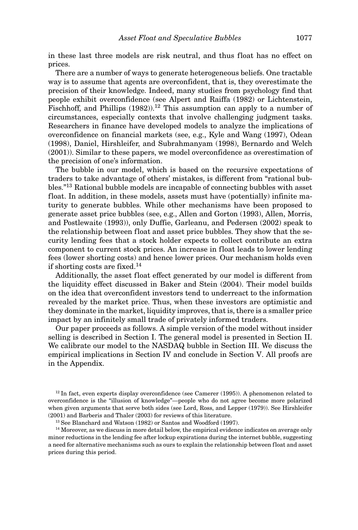in these last three models are risk neutral, and thus float has no effect on prices.

There are a number of ways to generate heterogeneous beliefs. One tractable way is to assume that agents are overconfident, that is, they overestimate the precision of their knowledge. Indeed, many studies from psychology find that people exhibit overconfidence (see Alpert and Raiffa (1982) or Lichtenstein, Fischhoff, and Phillips  $(1982)$ <sup>12</sup>. This assumption can apply to a number of circumstances, especially contexts that involve challenging judgment tasks. Researchers in finance have developed models to analyze the implications of overconfidence on financial markets (see, e.g., Kyle and Wang (1997), Odean (1998), Daniel, Hirshleifer, and Subrahmanyam (1998), Bernardo and Welch (2001)). Similar to these papers, we model overconfidence as overestimation of the precision of one's information.

The bubble in our model, which is based on the recursive expectations of traders to take advantage of others' mistakes, is different from "rational bubbles."<sup>13</sup> Rational bubble models are incapable of connecting bubbles with asset float. In addition, in these models, assets must have (potentially) infinite maturity to generate bubbles. While other mechanisms have been proposed to generate asset price bubbles (see, e.g., Allen and Gorton (1993), Allen, Morris, and Postlewaite (1993)), only Duffie, Garleanu, and Pedersen (2002) speak to the relationship between float and asset price bubbles. They show that the security lending fees that a stock holder expects to collect contribute an extra component to current stock prices. An increase in float leads to lower lending fees (lower shorting costs) and hence lower prices. Our mechanism holds even if shorting costs are fixed.<sup>14</sup>

Additionally, the asset float effect generated by our model is different from the liquidity effect discussed in Baker and Stein (2004). Their model builds on the idea that overconfident investors tend to underreact to the information revealed by the market price. Thus, when these investors are optimistic and they dominate in the market, liquidity improves, that is, there is a smaller price impact by an infinitely small trade of privately informed traders.

Our paper proceeds as follows. A simple version of the model without insider selling is described in Section I. The general model is presented in Section II. We calibrate our model to the NASDAQ bubble in Section III. We discuss the empirical implications in Section IV and conclude in Section V. All proofs are in the Appendix.

 $12$  In fact, even experts display overconfidence (see Camerer (1995)). A phenomenon related to overconfidence is the "illusion of knowledge"—people who do not agree become more polarized when given arguments that serve both sides (see Lord, Ross, and Lepper (1979)). See Hirshleifer (2001) and Barberis and Thaler (2003) for reviews of this literature.

<sup>14</sup> Moreover, as we discuss in more detail below, the empirical evidence indicates on average only minor reductions in the lending fee after lockup expirations during the internet bubble, suggesting a need for alternative mechanisms such as ours to explain the relationship between float and asset prices during this period.

<sup>13</sup> See Blanchard and Watson (1982) or Santos and Woodford (1997).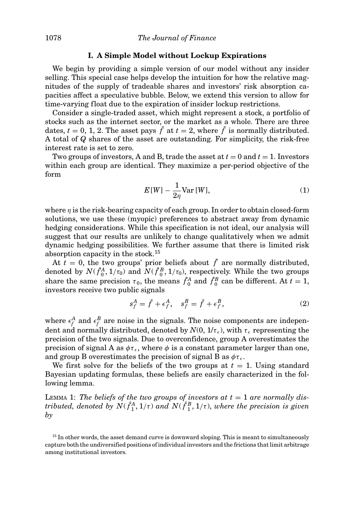## **I. A Simple Model without Lockup Expirations**

We begin by providing a simple version of our model without any insider selling. This special case helps develop the intuition for how the relative magnitudes of the supply of tradeable shares and investors' risk absorption capacities affect a speculative bubble. Below, we extend this version to allow for time-varying float due to the expiration of insider lockup restrictions.

Consider a single-traded asset, which might represent a stock, a portfolio of stocks such as the internet sector, or the market as a whole. There are three dates,  $t = 0, 1, 2$ . The asset pays  $\tilde{f}$  at  $t = 2$ , where  $\tilde{f}$  is normally distributed. A total of *Q* shares of the asset are outstanding. For simplicity, the risk-free interest rate is set to zero.

Two groups of investors, A and B, trade the asset at  $t = 0$  and  $t = 1$ . Investors within each group are identical. They maximize a per-period objective of the form

$$
E[W] - \frac{1}{2\eta} \text{Var}[W],\tag{1}
$$

where  $\eta$  is the risk-bearing capacity of each group. In order to obtain closed-form solutions, we use these (myopic) preferences to abstract away from dynamic hedging considerations. While this specification is not ideal, our analysis will suggest that our results are unlikely to change qualitatively when we admit dynamic hedging possibilities. We further assume that there is limited risk absorption capacity in the stock.<sup>15</sup>

At  $t = 0$ , the two groups' prior beliefs about  $\tilde{f}$  are normally distributed, denoted by  $N(\hat{f}_0^A, 1/\tau_0)$  and  $N(\hat{f}_0^B, 1/\tau_0)$ , respectively. While the two groups share the same precision  $\tau_0$ , the means  $\hat{f}_0^A$  and  $\hat{f}_0^B$  can be different. At  $t=1$ , investors receive two public signals

$$
s_f^A = \tilde{f} + \epsilon_f^A, \quad s_f^B = \tilde{f} + \epsilon_f^B,
$$
\n(2)

where  $\epsilon_f^A$  and  $\epsilon_f^B$  are noise in the signals. The noise components are independent and normally distributed, denoted by  $N(0, 1/\tau_{\epsilon})$ , with  $\tau_{\epsilon}$  representing the precision of the two signals. Due to overconfidence, group A overestimates the precision of signal A as  $\phi \tau_{\epsilon}$ , where  $\phi$  is a constant parameter larger than one, and group B overestimates the precision of signal B as  $\phi \tau_{\epsilon}$ .

We first solve for the beliefs of the two groups at  $t = 1$ . Using standard Bayesian updating formulas, these beliefs are easily characterized in the following lemma.

LEMMA 1: The beliefs of the two groups of investors at  $t = 1$  are normally dis*tributed, denoted by*  $N(\hat{f}_1^A, 1/\tau)$  and  $N(\hat{f}_1^B, 1/\tau)$ , where the precision is given *by*

<sup>&</sup>lt;sup>15</sup> In other words, the asset demand curve is downward sloping. This is meant to simultaneously capture both the undiversified positions of individual investors and the frictions that limit arbitrage among institutional investors.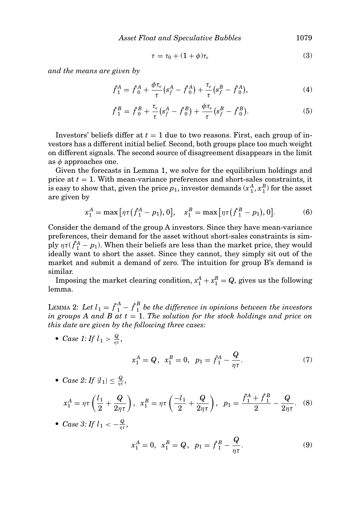*Asset Float and Speculative Bubbles* 1079

$$
\tau = \tau_0 + (1 + \phi)\tau_\epsilon \tag{3}
$$

*and the means are given by*

$$
\hat{f}_1^A = \hat{f}_0^A + \frac{\phi \tau_{\epsilon}}{\tau} (s_f^A - \hat{f}_0^A) + \frac{\tau_{\epsilon}}{\tau} (s_f^B - \hat{f}_0^A), \tag{4}
$$

$$
\hat{f}_1^B = \hat{f}_0^B + \frac{\tau_{\epsilon}}{\tau} \left( s_f^A - \hat{f}_0^B \right) + \frac{\phi \tau_{\epsilon}}{\tau} \left( s_f^B - \hat{f}_0^B \right). \tag{5}
$$

Investors' beliefs differ at  $t = 1$  due to two reasons. First, each group of investors has a different initial belief. Second, both groups place too much weight on different signals. The second source of disagreement disappears in the limit as  $\phi$  approaches one.

Given the forecasts in Lemma 1, we solve for the equilibrium holdings and price at *t* = 1. With mean-variance preferences and short-sales constraints, it is easy to show that, given the price  $p_1$ , investor demands  $(x_1^A, x_1^B)$  for the asset are given by

$$
x_1^A = \max[\eta \tau (f_1^A - p_1), 0], \quad x_1^B = \max[\eta \tau (f_1^B - p_1), 0]. \tag{6}
$$

Consider the demand of the group A investors. Since they have mean-variance preferences, their demand for the asset without short-sales constraints is simply  $\eta \tau (\hat{f}_1^A - p_1)$ . When their beliefs are less than the market price, they would ideally want to short the asset. Since they cannot, they simply sit out of the market and submit a demand of zero. The intuition for group B's demand is similar.

Imposing the market clearing condition,  $x_1^A + x_1^B = Q$ , gives us the following lemma.

LEMMA 2: Let  $l_1 = \hat{f}_1^A - \hat{f}_1^B$  be the difference in opinions between the investors *in groups A and B at t* = 1. *The solution for the stock holdings and price on this date are given by the following three cases:*

• *Case 1:* If  $l_1 > \frac{Q}{m}$  $\frac{Q}{\eta\tau},$ 

$$
x_1^A = Q, \ \ x_1^B = 0, \ \ p_1 = \hat{f}_1^A - \frac{Q}{\eta \tau}.
$$
 (7)

*• Case 2: If*  $|l_1| \leq \frac{Q}{\eta \tau}$ ,

$$
x_1^A = \eta \tau \left(\frac{l_1}{2} + \frac{Q}{2\eta \tau}\right), \ \ x_1^B = \eta \tau \left(\frac{-l_1}{2} + \frac{Q}{2\eta \tau}\right), \ \ p_1 = \frac{\hat{f}_1^A + \hat{f}_1^B}{2} - \frac{Q}{2\eta \tau}.\tag{8}
$$

*• Case 3: If*  $l_1 < -\frac{Q}{n}$  $\frac{Q}{\eta\tau}$ ,

$$
x_1^A = 0, \ \ x_1^B = Q, \ \ p_1 = \hat{f}_1^B - \frac{Q}{\eta \tau}.
$$
 (9)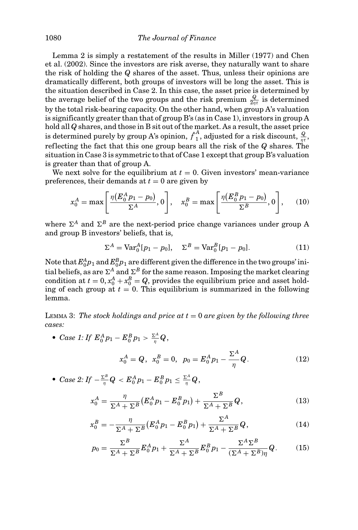Lemma 2 is simply a restatement of the results in Miller (1977) and Chen et al. (2002). Since the investors are risk averse, they naturally want to share the risk of holding the *Q* shares of the asset. Thus, unless their opinions are dramatically different, both groups of investors will be long the asset. This is the situation described in Case 2. In this case, the asset price is determined by the average belief of the two groups and the risk premium  $\frac{Q}{2\eta\tau}$  is determined by the total risk-bearing capacity. On the other hand, when group A's valuation is significantly greater than that of group B's (as in Case 1), investors in group A hold all *Q* shares, and those in B sit out of the market. As a result, the asset price is determined purely by group A's opinion,  $f_1^A$  $\frac{1}{1}$ , adjusted for a risk discount,  $\frac{Q}{\eta\tau}$ , reflecting the fact that this one group bears all the risk of the *Q* shares. The situation in Case 3 is symmetric to that of Case 1 except that group B's valuation is greater than that of group A.

We next solve for the equilibrium at  $t = 0$ . Given investors' mean-variance preferences, their demands at  $t = 0$  are given by

$$
x_0^A = \max\left[\frac{\eta(E_0^A p_1 - p_0)}{\Sigma^A}, 0\right], \quad x_0^B = \max\left[\frac{\eta(E_0^B p_1 - p_0)}{\Sigma^B}, 0\right], \quad (10)
$$

where  $\Sigma^A$  and  $\Sigma^B$  are the next-period price change variances under group A and group B investors' beliefs, that is,

$$
\Sigma^{A} = \text{Var}_{0}^{A}[p_{1} - p_{0}], \quad \Sigma^{B} = \text{Var}_{0}^{B}[p_{1} - p_{0}]. \tag{11}
$$

Note that  $E^A_0 p_1$  and  $E^B_0 p_1$  are different given the difference in the two groups' initial beliefs, as are  $\Sigma^A$  and  $\Sigma^B$  for the same reason. Imposing the market clearing condition at  $t = 0, x_0^A + x_0^B = Q$ , provides the equilibrium price and asset holding of each group at *t* = 0. This equilibrium is summarized in the following lemma.

LEMMA 3: *The stock holdings and price at t* = 0 *are given by the following three cases:*

 $\bullet$  *Case 1: If*   $E_0^A p_1 - E_0^B p_1 > \frac{Σ^A}{η} Q$ ,

$$
x_0^A = Q, \ \ x_0^B = 0, \ \ p_0 = E_0^A p_1 - \frac{\Sigma^A}{\eta} Q. \tag{12}
$$

 $\bullet$   $\textit{Case 2:} \textit{If } -\frac{\Sigma^{B}}{\eta}Q\ < E_{0}^{A}p_{1} - E_{0}^{B}p_{1} \leq \frac{\Sigma^{A}}{\eta}Q,$ 

$$
x_0^A = \frac{\eta}{\Sigma^A + \Sigma^B} (E_0^A p_1 - E_0^B p_1) + \frac{\Sigma^B}{\Sigma^A + \Sigma^B} Q, \qquad (13)
$$

$$
x_0^B = -\frac{\eta}{\Sigma^A + \Sigma^B} (E_0^A p_1 - E_0^B p_1) + \frac{\Sigma^A}{\Sigma^A + \Sigma^B} Q, \qquad (14)
$$

$$
p_0 = \frac{\Sigma^B}{\Sigma^A + \Sigma^B} E_0^A p_1 + \frac{\Sigma^A}{\Sigma^A + \Sigma^B} E_0^B p_1 - \frac{\Sigma^A \Sigma^B}{(\Sigma^A + \Sigma^B) \eta} Q. \tag{15}
$$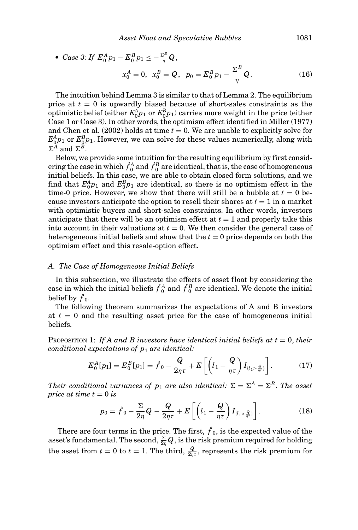• Case 3: If 
$$
E_0^A p_1 - E_0^B p_1 \le -\frac{\Sigma^B}{\eta} Q
$$
,  
 $x_0^A = 0$ ,  $x_0^B = Q$ ,  $p_0 = E_0^B p_1 - \frac{\Sigma^B}{\eta} Q$ . (16)

The intuition behind Lemma 3 is similar to that of Lemma 2. The equilibrium price at  $t = 0$  is upwardly biased because of short-sales constraints as the optimistic belief (either  $E_0^A p_1$  or  $E_0^B p_1$ ) carries more weight in the price (either Case 1 or Case 3). In other words, the optimism effect identified in Miller (1977) and Chen et al.  $(2002)$  holds at time  $t = 0$ . We are unable to explicitly solve for  $E^A_0 p_1$  or  $E^B_0 p_1$ . However, we can solve for these values numerically, along with  $\Sigma^{\check{A}}$  and  $\Sigma^{\check{B}}$ .

Below, we provide some intuition for the resulting equilibrium by first considering the case in which  $\hat{f}_0^A$  and  $\hat{f}_0^B$  are identical, that is, the case of homogeneous initial beliefs. In this case, we are able to obtain closed form solutions, and we find that  $E_0^A p_1$  and  $E_0^B p_1$  are identical, so there is no optimism effect in the time-0 price. However, we show that there will still be a bubble at  $t = 0$  because investors anticipate the option to resell their shares at  $t = 1$  in a market with optimistic buyers and short-sales constraints. In other words, investors anticipate that there will be an optimism effect at  $t = 1$  and properly take this into account in their valuations at  $t = 0$ . We then consider the general case of heterogeneous initial beliefs and show that the *t* = 0 price depends on both the optimism effect and this resale-option effect.

### *A. The Case of Homogeneous Initial Beliefs*

In this subsection, we illustrate the effects of asset float by considering the case in which the initial beliefs  $\hat{f}_0^A$  and  $\hat{f}_0^B$  are identical. We denote the initial belief by  $f_0$ .

The following theorem summarizes the expectations of A and B investors at  $t = 0$  and the resulting asset price for the case of homogeneous initial beliefs.

PROPOSITION 1: *If A and B investors have identical initial beliefs at t* = 0, *their conditional expectations of p*<sup>1</sup> *are identical:*

$$
E_0^A[p_1] = E_0^B[p_1] = \hat{f}_0 - \frac{Q}{2\eta\tau} + E\left[\left(l_1 - \frac{Q}{\eta\tau}\right)I_{\{l_1 > \frac{Q}{\eta\tau}\}}\right].
$$
 (17)

*Their conditional variances of p<sub>1</sub> are also identical:*  $\Sigma = \Sigma^A = \Sigma^B$ . The asset *price at time*  $t = 0$  *is* 

$$
p_0 = \hat{f}_0 - \frac{\Sigma}{2\eta} Q - \frac{Q}{2\eta\tau} + E\left[ \left( l_1 - \frac{Q}{\eta\tau} \right) I_{\{l_1 > \frac{Q}{\eta\tau}\}} \right].
$$
 (18)

There are four terms in the price. The first,  $\hat{f}_0$ , is the expected value of the asset's fundamental. The second,  $\frac{\Sigma}{2\eta}Q$  , is the risk premium required for holding the asset from  $t = 0$  to  $t = 1$ . The third,  $\frac{Q}{2\eta t}$ , represents the risk premium for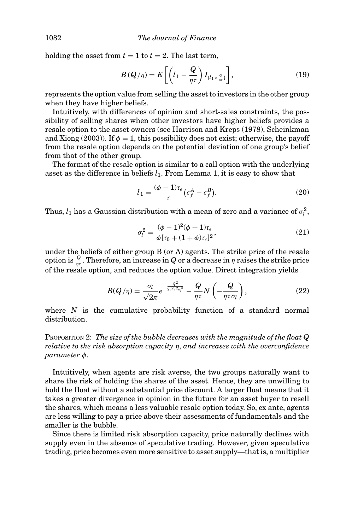holding the asset from  $t = 1$  to  $t = 2$ . The last term,

$$
B(Q/\eta) = E\left[\left(l_1 - \frac{Q}{\eta \tau}\right)I_{\{l_1 > \frac{Q}{\eta \tau}\}}\right],\tag{19}
$$

represents the option value from selling the asset to investors in the other group when they have higher beliefs.

Intuitively, with differences of opinion and short-sales constraints, the possibility of selling shares when other investors have higher beliefs provides a resale option to the asset owners (see Harrison and Kreps (1978), Scheinkman and Xiong (2003)). If  $\phi = 1$ , this possibility does not exist; otherwise, the payoff from the resale option depends on the potential deviation of one group's belief from that of the other group.

The format of the resale option is similar to a call option with the underlying asset as the difference in beliefs  $l_1$ . From Lemma 1, it is easy to show that

$$
l_1 = \frac{(\phi - 1)\tau_{\epsilon}}{\tau} \left(\epsilon_f^A - \epsilon_f^B\right).
$$
 (20)

Thus,  $l_1$  has a Gaussian distribution with a mean of zero and a variance of  $\sigma_l^2$ ,

$$
\sigma_l^2 = \frac{(\phi - 1)^2 (\phi + 1)\tau_{\epsilon}}{\phi[\tau_0 + (1 + \phi)\tau_{\epsilon}]^2},\tag{21}
$$

under the beliefs of either group B (or A) agents. The strike price of the resale option is  $\frac{Q}{\eta\tau}$  . Therefore, an increase in  $Q$  or a decrease in  $\eta$  raises the strike price of the resale option, and reduces the option value. Direct integration yields

$$
B(Q/\eta) = \frac{\sigma_l}{\sqrt{2\pi}} e^{-\frac{Q^2}{2\eta^2 \tau^2 \sigma_l^2}} - \frac{Q}{\eta \tau} N\left(-\frac{Q}{\eta \tau \sigma_l}\right),\tag{22}
$$

where *N* is the cumulative probability function of a standard normal distribution.

PROPOSITION 2: *The size of the bubble decreases with the magnitude of the float Q relative to the risk absorption capacity* η, *and increases with the overconfidence parameter* φ.

Intuitively, when agents are risk averse, the two groups naturally want to share the risk of holding the shares of the asset. Hence, they are unwilling to hold the float without a substantial price discount. A larger float means that it takes a greater divergence in opinion in the future for an asset buyer to resell the shares, which means a less valuable resale option today. So, ex ante, agents are less willing to pay a price above their assessments of fundamentals and the smaller is the bubble.

Since there is limited risk absorption capacity, price naturally declines with supply even in the absence of speculative trading. However, given speculative trading, price becomes even more sensitive to asset supply—that is, a multiplier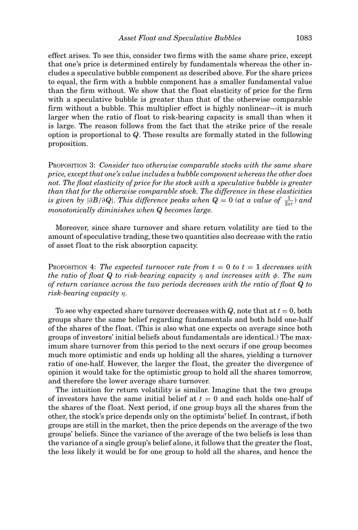effect arises. To see this, consider two firms with the same share price, except that one's price is determined entirely by fundamentals whereas the other includes a speculative bubble component as described above. For the share prices to equal, the firm with a bubble component has a smaller fundamental value than the firm without. We show that the float elasticity of price for the firm with a speculative bubble is greater than that of the otherwise comparable firm without a bubble. This multiplier effect is highly nonlinear—it is much larger when the ratio of float to risk-bearing capacity is small than when it is large. The reason follows from the fact that the strike price of the resale option is proportional to *Q*. These results are formally stated in the following proposition.

PROPOSITION 3: *Consider two otherwise comparable stocks with the same share price, except that one's value includes a bubble component whereas the other does not. The float elasticity of price for the stock with a speculative bubble is greater than that for the otherwise comparable stock. The difference in these elasticities is given by*  $|\partial B/\partial Q|$ . *This difference peaks when*  $Q = 0$  (*at a value of*  $\frac{1}{2\eta\tau}$ ) *and monotonically diminishes when Q becomes large.*

Moreover, since share turnover and share return volatility are tied to the amount of speculative trading, these two quantities also decrease with the ratio of asset float to the risk absorption capacity.

PROPOSITION 4: *The expected turnover rate from*  $t = 0$  to  $t = 1$  *decreases with the ratio of float Q to risk-bearing capacity* η *and increases with* φ. *The sum of return variance across the two periods decreases with the ratio of float Q to risk-bearing capacity* η.

To see why expected share turnover decreases with  $Q$ , note that at  $t = 0$ , both groups share the same belief regarding fundamentals and both hold one-half of the shares of the float. (This is also what one expects on average since both groups of investors' initial beliefs about fundamentals are identical.) The maximum share turnover from this period to the next occurs if one group becomes much more optimistic and ends up holding all the shares, yielding a turnover ratio of one-half. However, the larger the float, the greater the divergence of opinion it would take for the optimistic group to hold all the shares tomorrow, and therefore the lower average share turnover.

The intuition for return volatility is similar. Imagine that the two groups of investors have the same initial belief at  $t = 0$  and each holds one-half of the shares of the float. Next period, if one group buys all the shares from the other, the stock's price depends only on the optimists' belief. In contrast, if both groups are still in the market, then the price depends on the average of the two groups' beliefs. Since the variance of the average of the two beliefs is less than the variance of a single group's belief alone, it follows that the greater the float, the less likely it would be for one group to hold all the shares, and hence the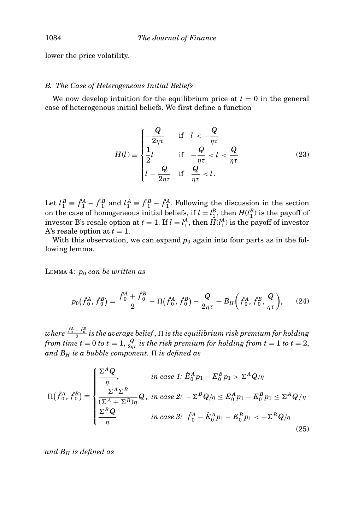lower the price volatility.

# *B. The Case of Heterogeneous Initial Beliefs*

We now develop intuition for the equilibrium price at  $t = 0$  in the general case of heterogenous initial beliefs. We first define a function

$$
H(l) \equiv \begin{cases} -\frac{Q}{2\eta\tau} & \text{if } l < -\frac{Q}{\eta\tau} \\ \frac{1}{2}l & \text{if } -\frac{Q}{\eta\tau} < l < \frac{Q}{\eta\tau} \\ l - \frac{Q}{2\eta\tau} & \text{if } \frac{Q}{\eta\tau} < l \end{cases} \tag{23}
$$

Let  $l_1^B \equiv f_1^A - f_1^B$  and  $l_1^A \equiv f_1^B - f_1^A$ . Following the discussion in the section on the case of homogeneous initial beliefs, if  $l = l_1^B$ , then  $H(l_1^B)$  is the payoff of investor B's resale option at  $t = 1$ . If  $l = l_1^A$ , then  $H(l_1^A)$  is the payoff of investor A's resale option at  $t = 1$ .

With this observation, we can expand  $p_0$  again into four parts as in the following lemma.

LEMMA 4:  $p_0$  *can be written as* 

$$
p_0(f_0^A, f_0^B) = \frac{\hat{f}_0^A + \hat{f}_0^B}{2} - \Pi(f_0^A, f_0^B) - \frac{Q}{2\eta\tau} + B_H\bigg(f_0^A, f_0^B, \frac{Q}{\eta\tau}\bigg),\qquad(24)
$$

where  $\frac{f_0^A+f_B^B}{2}$  is the average belief ,  $\Pi$  is the equilibrium risk premium for holding  $f$ rom time  $t=0$  to  $t=1,\frac{Q}{2\eta\tau}$  is the risk premium for holding from  $t=1$  to  $t=2,$ *and B<sup>H</sup> is a bubble component. is defined as*

$$
\Pi(\hat{f}_0^A, \hat{f}_0^B) = \begin{cases} \frac{\sum^A Q}{\eta}, & in case 1: \hat{E}_0^A p_1 - E_0^B p_1 > \sum^A Q/\eta \\ \frac{\sum^A \sum^B}{(\sum^A + \sum^B) \eta} Q, & in case 2: -\sum^B Q/\eta \le E_0^A p_1 - E_0^B p_1 \le \sum^A Q/\eta \\ \frac{\sum^B Q}{\eta} & in case 3: f_0^A - \hat{E}_0^A p_1 - E_0^B p_1 < -\sum^B Q/\eta \\ & (25) \end{cases}
$$

*and B<sup>H</sup> is defined as*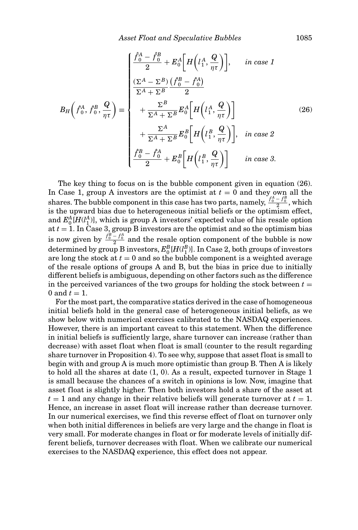*Asset Float and Speculative Bubbles* 1085

$$
B_H\left(\hat{f}_0^A, \hat{f}_0^B, \frac{Q}{\eta \tau}\right) = \begin{cases} \frac{\hat{f}_0^A - \hat{f}_0^B}{2} + E_0^A \Big[ H\Big(\hat{l}_1^A, \frac{Q}{\eta \tau}\Big) \Big], & \text{ in case } 1\\ \frac{(\Sigma^A - \Sigma^B)}{\Sigma^A + \Sigma^B} \frac{(\hat{f}_0^B - \hat{f}_0^A)}{2} \\ + \frac{\Sigma^B}{\Sigma^A + \Sigma^B} E_0^A \Big[ H\Big(\hat{l}_1^A, \frac{Q}{\eta \tau}\Big) \Big] & \text{ (26)}\\ + \frac{\Sigma^A}{\Sigma^A + \Sigma^B} E_0^B \Big[ H\Big(\hat{l}_1^B, \frac{Q}{\eta \tau}\Big) \Big], & \text{ in case } 2\\ \frac{\hat{f}_0^B - \hat{f}_0^A}{2} + E_0^B \Big[ H\Big(\hat{l}_1^B, \frac{Q}{\eta \tau}\Big) \Big] & \text{ in case } 3. \end{cases}
$$

The key thing to focus on is the bubble component given in equation (26). In Case 1, group A investors are the optimist at  $t = 0$  and they own all the shares. The bubble component in this case has two parts, namely,  $\frac{f_0^A - f_0^B}{2}$ , which  $\frac{2}{2}$ , which is the upward bias due to heterogeneous initial beliefs or the optimism effect, and  $E_0^A[H(l_1^A)]$ , which is group A investors' expected value of his resale option at  $t=1$ . In Case 3, group B investors are the optimist and so the optimism bias is now given by  $\frac{f_0^B - f_0^A}{2}$  and the resale option component of the bubble is now determined by group B investors,  $E_0^B[H(l_1^B)]$ . In Case 2, both groups of investors are long the stock at  $t = 0$  and so the bubble component is a weighted average of the resale options of groups A and B, but the bias in price due to initially different beliefs is ambiguous, depending on other factors such as the difference in the perceived variances of the two groups for holding the stock between  $t =$ 0 and  $t = 1$ .

For the most part, the comparative statics derived in the case of homogeneous initial beliefs hold in the general case of heterogeneous initial beliefs, as we show below with numerical exercises calibrated to the NASDAQ experiences. However, there is an important caveat to this statement. When the difference in initial beliefs is sufficiently large, share turnover can increase (rather than decrease) with asset float when float is small (counter to the result regarding share turnover in Proposition 4). To see why, suppose that asset float is small to begin with and group A is much more optimistic than group B. Then A is likely to hold all the shares at date (1, 0). As a result, expected turnover in Stage 1 is small because the chances of a switch in opinions is low. Now, imagine that asset float is slightly higher. Then both investors hold a share of the asset at  $t = 1$  and any change in their relative beliefs will generate turnover at  $t = 1$ . Hence, an increase in asset float will increase rather than decrease turnover. In our numerical exercises, we find this reverse effect of float on turnover only when both initial differences in beliefs are very large and the change in float is very small. For moderate changes in float or for moderate levels of initially different beliefs, turnover decreases with float. When we calibrate our numerical exercises to the NASDAQ experience, this effect does not appear.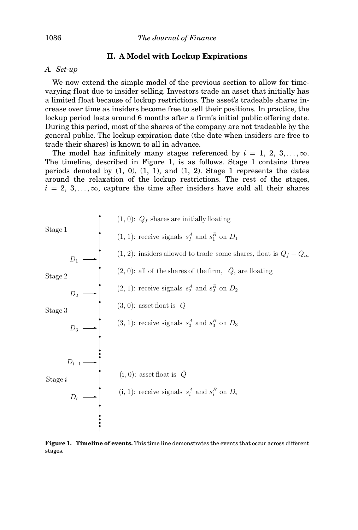# **II. A Model with Lockup Expirations**

# *A. Set-up*

We now extend the simple model of the previous section to allow for timevarying float due to insider selling. Investors trade an asset that initially has a limited float because of lockup restrictions. The asset's tradeable shares increase over time as insiders become free to sell their positions. In practice, the lockup period lasts around 6 months after a firm's initial public offering date. During this period, most of the shares of the company are not tradeable by the general public. The lockup expiration date (the date when insiders are free to trade their shares) is known to all in advance.

The model has infinitely many stages referenced by  $i = 1, 2, 3, \ldots, \infty$ . The timeline, described in Figure 1, is as follows. Stage 1 contains three periods denoted by  $(1, 0)$ ,  $(1, 1)$ , and  $(1, 2)$ . Stage 1 represents the dates around the relaxation of the lockup restrictions. The rest of the stages,  $i = 2, 3, \ldots, \infty$ , capture the time after insiders have sold all their shares



**Figure 1. Timeline of events.** This time line demonstrates the events that occur across different stages.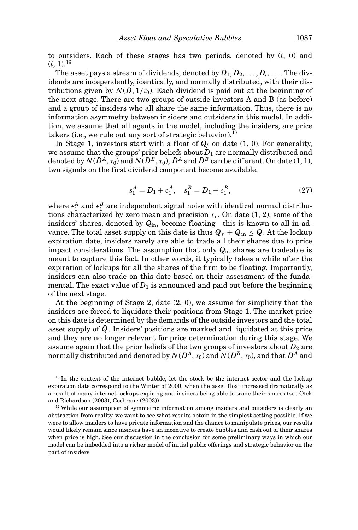to outsiders. Each of these stages has two periods, denoted by (*i*, 0) and  $(i, 1)$ .<sup>16</sup>

The asset pays a stream of dividends, denoted by  $D_1, D_2, \ldots, D_i, \ldots$  . The dividends are independently, identically, and normally distributed, with their distributions given by  $N(\bar{D}, 1/\tau_0)$ . Each dividend is paid out at the beginning of the next stage. There are two groups of outside investors A and B (as before) and a group of insiders who all share the same information. Thus, there is no information asymmetry between insiders and outsiders in this model. In addition, we assume that all agents in the model, including the insiders, are price takers (i.e., we rule out any sort of strategic behavior).<sup>17</sup>

In Stage 1, investors start with a float of  $Q_f$  on date (1, 0). For generality, we assume that the groups' prior beliefs about  $D_1$  are normally distributed and denoted by  $N(\bar{D}^A, \tau_0)$  and  $N(\bar{D}^B, \tau_0)$ ,  $\bar{D}^A$  and  $\bar{D}^B$  can be different. On date (1, 1), two signals on the first dividend component become available,

$$
s_1^A = D_1 + \epsilon_1^A, \quad s_1^B = D_1 + \epsilon_1^B,\tag{27}
$$

where  $\epsilon_1^A$  and  $\epsilon_1^B$  are independent signal noise with identical normal distributions characterized by zero mean and precision  $\tau_{\epsilon}$ . On date (1, 2), some of the insiders' shares, denoted by *Q*in, become floating—this is known to all in advance. The total asset supply on this date is thus  $Q_f + Q_{\text{in}} \le \bar{Q}$ . At the lockup expiration date, insiders rarely are able to trade all their shares due to price impact considerations. The assumption that only *Q*in shares are tradeable is meant to capture this fact. In other words, it typically takes a while after the expiration of lockups for all the shares of the firm to be floating. Importantly, insiders can also trade on this date based on their assessment of the fundamental. The exact value of  $D_1$  is announced and paid out before the beginning of the next stage.

At the beginning of Stage 2, date  $(2, 0)$ , we assume for simplicity that the insiders are forced to liquidate their positions from Stage 1. The market price on this date is determined by the demands of the outside investors and the total asset supply of  $\bar{Q}$ . Insiders' positions are marked and liquidated at this price and they are no longer relevant for price determination during this stage. We assume again that the prior beliefs of the two groups of investors about  $D_2$  are normally distributed and denoted by  $N(\bar{D}^A, \tau_0)$  and  $N(\bar{D}^B, \tau_0)$ , and that  $\bar{D}^{\bar{A}}$  and

 $16$  In the context of the internet bubble, let the stock be the internet sector and the lockup expiration date correspond to the Winter of 2000, when the asset float increased dramatically as a result of many internet lockups expiring and insiders being able to trade their shares (see Ofek and Richardson (2003), Cochrane (2003)).

<sup>17</sup> While our assumption of symmetric information among insiders and outsiders is clearly an abstraction from reality, we want to see what results obtain in the simplest setting possible. If we were to allow insiders to have private information and the chance to manipulate prices, our results would likely remain since insiders have an incentive to create bubbles and cash out of their shares when price is high. See our discussion in the conclusion for some preliminary ways in which our model can be imbedded into a richer model of initial public offerings and strategic behavior on the part of insiders.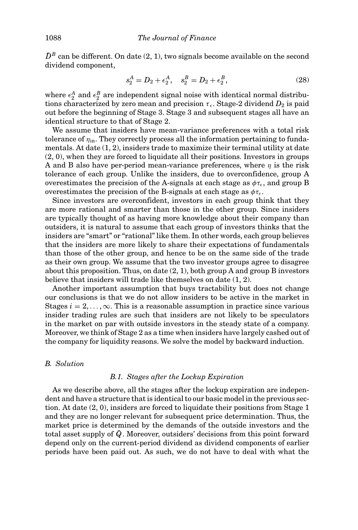$\bar{D}^B$  can be different. On date (2, 1), two signals become available on the second dividend component,

$$
s_2^A = D_2 + \epsilon_2^A, \quad s_2^B = D_2 + \epsilon_2^B, \tag{28}
$$

where  $\epsilon_2^A$  and  $\epsilon_2^B$  are independent signal noise with identical normal distribuwhere  $\epsilon_2$  and  $\epsilon_2$  are independent eighthose what identical normal distributions characterized by zero mean and precision  $\tau_{\epsilon}$ . Stage-2 dividend  $D_2$  is paid out before the beginning of Stage 3. Stage 3 and subsequent stages all have an identical structure to that of Stage 2.

We assume that insiders have mean-variance preferences with a total risk tolerance of  $\eta_{in}$ . They correctly process all the information pertaining to fundamentals. At date  $(1, 2)$ , insiders trade to maximize their terminal utility at date (2, 0), when they are forced to liquidate all their positions. Investors in groups A and B also have per-period mean-variance preferences, where  $\eta$  is the risk tolerance of each group. Unlike the insiders, due to overconfidence, group A overestimates the precision of the A-signals at each stage as  $\phi \tau_{\epsilon}$ , and group B overestimates the precision of the B-signals at each stage as  $\phi \tau_{\epsilon}$ .

Since investors are overconfident, investors in each group think that they are more rational and smarter than those in the other group. Since insiders are typically thought of as having more knowledge about their company than outsiders, it is natural to assume that each group of investors thinks that the insiders are "smart" or "rational" like them. In other words, each group believes that the insiders are more likely to share their expectations of fundamentals than those of the other group, and hence to be on the same side of the trade as their own group. We assume that the two investor groups agree to disagree about this proposition. Thus, on date  $(2, 1)$ , both group A and group B investors believe that insiders will trade like themselves on date (1, 2).

Another important assumption that buys tractability but does not change our conclusions is that we do not allow insiders to be active in the market in Stages  $i = 2, \ldots, \infty$ . This is a reasonable assumption in practice since various insider trading rules are such that insiders are not likely to be speculators in the market on par with outside investors in the steady state of a company. Moreover, we think of Stage 2 as a time when insiders have largely cashed out of the company for liquidity reasons. We solve the model by backward induction.

#### *B. Solution*

# *B.1. Stages after the Lockup Expiration*

As we describe above, all the stages after the lockup expiration are independent and have a structure that is identical to our basic model in the previous section. At date (2, 0), insiders are forced to liquidate their positions from Stage 1 and they are no longer relevant for subsequent price determination. Thus, the market price is determined by the demands of the outside investors and the total asset supply of  $\overline{Q}$ . Moreover, outsiders' decisions from this point forward depend only on the current-period dividend as dividend components of earlier periods have been paid out. As such, we do not have to deal with what the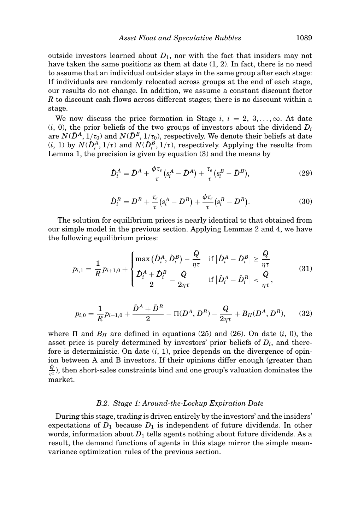outside investors learned about  $D_1$ , nor with the fact that insiders may not have taken the same positions as them at date  $(1, 2)$ . In fact, there is no need to assume that an individual outsider stays in the same group after each stage: If individuals are randomly relocated across groups at the end of each stage, our results do not change. In addition, we assume a constant discount factor *R* to discount cash flows across different stages; there is no discount within a stage.

We now discuss the price formation in Stage *i*,  $i = 2, 3, \ldots, \infty$ . At date  $(i, 0)$ , the prior beliefs of the two groups of investors about the dividend  $D_i$ are  $N(\bar{D}^A, 1/\tau_0)$  and  $N(\bar{D}^B, 1/\tau_0)$ , respectively. We denote their beliefs at date  $(i, 1)$  by  $N(\hat{D}_i^A, 1/\tau)$  and  $N(\hat{D}_i^B, 1/\tau)$ , respectively. Applying the results from Lemma 1, the precision is given by equation (3) and the means by

$$
\hat{D}_i^A = \bar{D}^A + \frac{\phi \tau_{\epsilon}}{\tau} \left(s_i^A - \bar{D}^A\right) + \frac{\tau_{\epsilon}}{\tau} \left(s_i^B - \bar{D}^B\right),\tag{29}
$$

$$
\hat{D}_i^B = \bar{D}^B + \frac{\tau_{\epsilon}}{\tau} (s_i^A - \bar{D}^B) + \frac{\phi \tau_{\epsilon}}{\tau} (s_i^B - \bar{D}^B). \tag{30}
$$

The solution for equilibrium prices is nearly identical to that obtained from our simple model in the previous section. Applying Lemmas 2 and 4, we have the following equilibrium prices:

$$
p_{i,1} = \frac{1}{R}p_{i+1,0} + \begin{cases} \max\left(\hat{D}_i^A, \hat{D}_i^B\right) - \frac{\bar{Q}}{\eta \tau} & \text{if } |\hat{D}_i^A - \hat{D}_i^B| \ge \frac{\bar{Q}}{\eta \tau} \\ \frac{\hat{D}_i^A + \hat{D}_i^B}{2} - \frac{\bar{Q}}{2\eta \tau} & \text{if } |\hat{D}_i^A - \hat{D}_i^B| < \frac{\bar{Q}}{\eta \tau}, \end{cases}
$$
(31)

$$
p_{i,0} = \frac{1}{R} p_{i+1,0} + \frac{\bar{D}^A + \bar{D}^B}{2} - \Pi(\bar{D}^A, \bar{D}^B) - \frac{Q}{2\eta\tau} + B_H(\bar{D}^A, \bar{D}^B),\tag{32}
$$

where  $\Pi$  and  $B_H$  are defined in equations (25) and (26). On date  $(i, 0)$ , the asset price is purely determined by investors' prior beliefs of *D<sup>i</sup>* , and therefore is deterministic. On date  $(i, 1)$ , price depends on the divergence of opinion between A and B investors. If their opinions differ enough (greater than *Q*¯  $\frac{Q}{\eta\tau}$ ), then short-sales constraints bind and one group's valuation dominates the market.

#### *B.2. Stage 1: Around-the-Lockup Expiration Date*

During this stage, trading is driven entirely by the investors' and the insiders' expectations of  $D_1$  because  $D_1$  is independent of future dividends. In other words, information about  $D_1$  tells agents nothing about future dividends. As a result, the demand functions of agents in this stage mirror the simple meanvariance optimization rules of the previous section.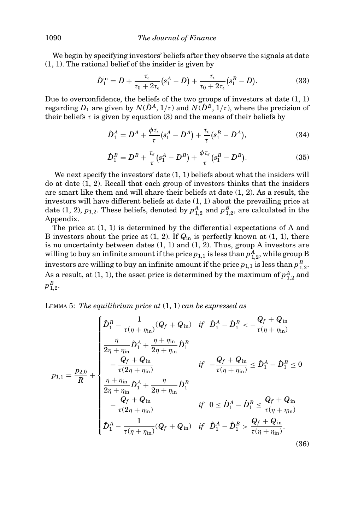We begin by specifying investors' beliefs after they observe the signals at date (1, 1). The rational belief of the insider is given by

$$
\hat{D}_1^{\text{in}} = \bar{D} + \frac{\tau_{\epsilon}}{\tau_0 + 2\tau_{\epsilon}} (s_1^A - \bar{D}) + \frac{\tau_{\epsilon}}{\tau_0 + 2\tau_{\epsilon}} (s_1^B - \bar{D}). \tag{33}
$$

Due to overconfidence, the beliefs of the two groups of investors at date  $(1, 1)$ regarding  $D_1$  are given by  $N(\hat{D}^A, 1/\tau)$  and  $N(\hat{D}^B, 1/\tau)$ , where the precision of their beliefs  $\tau$  is given by equation (3) and the means of their beliefs by

$$
\hat{D}_1^A = \bar{D}^A + \frac{\phi \tau_{\epsilon}}{\tau} (s_1^A - \bar{D}^A) + \frac{\tau_{\epsilon}}{\tau} (s_1^B - \bar{D}^A), \tag{34}
$$

$$
\hat{D}_1^B = \bar{D}^B + \frac{\tau_{\epsilon}}{\tau} \left(s_1^A - \bar{D}^B\right) + \frac{\phi \tau_{\epsilon}}{\tau} \left(s_1^B - \bar{D}^B\right). \tag{35}
$$

We next specify the investors' date  $(1, 1)$  beliefs about what the insiders will do at date (1, 2). Recall that each group of investors thinks that the insiders are smart like them and will share their beliefs at date (1, 2). As a result, the investors will have different beliefs at date (1, 1) about the prevailing price at date (1, 2),  $p_{1,2}$ . These beliefs, denoted by  $p_{1,2}^A$  and  $p_{1,2}^B$ , are calculated in the Appendix.

The price at (1, 1) is determined by the differential expectations of A and B investors about the price at  $(1, 2)$ . If  $Q_{\text{in}}$  is perfectly known at  $(1, 1)$ , there is no uncertainty between dates  $(1, 1)$  and  $(1, 2)$ . Thus, group A investors are willing to buy an infinite amount if the price  $p_{1,1}$  is less than  $p_{1,2}^A,$  while group B investors are willing to buy an infinite amount if the price  $p_{1,1}$  is less than  $p_{\,1,2}^{\,B}$ . As a result, at  $(1, 1)$ , the asset price is determined by the maximum of  $p_{1,2}^A$  and  $p_{\ 1,2}^{\ B}.$ 

#### LEMMA 5: *The equilibrium price at* (1, 1) *can be expressed as*

$$
p_{1,1} = \frac{p_{2,0}}{R} + \begin{cases} \hat{D}_1^B - \frac{1}{\tau(\eta + \eta_{\text{in}})} (\hat{Q}_f + \hat{Q}_{\text{in}}) & \text{if } \hat{D}_1^A - \hat{D}_1^B < -\frac{Q_f + Q_{\text{in}}}{\tau(\eta + \eta_{\text{in}})} \\ \frac{\eta}{2\eta + \eta_{\text{in}}} \hat{D}_1^A + \frac{\eta + \eta_{\text{in}}}{2\eta + \eta_{\text{in}}} \hat{D}_1^B & \text{if } -\frac{Q_f + Q_{\text{in}}}{\tau(\eta + \eta_{\text{in}})} \leq \hat{D}_1^A - \hat{D}_1^B \leq 0 \\ -\frac{Q_f + Q_{\text{in}}}{\tau(2\eta + \eta_{\text{in}})} \hat{D}_1^A + \frac{\eta}{2\eta + \eta_{\text{in}}} \hat{D}_1^B & \text{if } 0 \leq \hat{D}_1^A - \hat{D}_1^B \leq \frac{Q_f + Q_{\text{in}}}{\tau(\eta + \eta_{\text{in}})} \\ -\frac{Q_f + Q_{\text{in}}}{\tau(2\eta + \eta_{\text{in}})} & \text{if } 0 \leq \hat{D}_1^A - \hat{D}_1^B > \frac{Q_f + Q_{\text{in}}}{\tau(\eta + \eta_{\text{in}})} \\ \hat{D}_1^A - \frac{1}{\tau(\eta + \eta_{\text{in}})} (Q_f + Q_{\text{in}}) & \text{if } \hat{D}_1^A - \hat{D}_1^B > \frac{Q_f + Q_{\text{in}}}{\tau(\eta + \eta_{\text{in}})} . \end{cases} \tag{36}
$$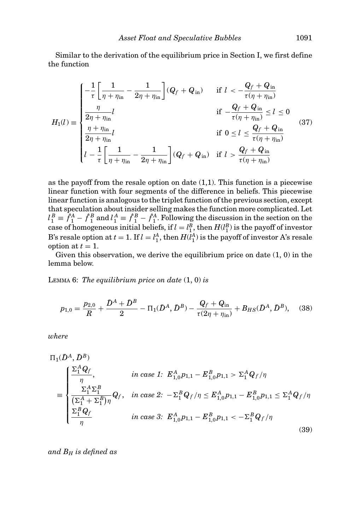Similar to the derivation of the equilibrium price in Section I, we first define the function

$$
H_{1}(l) = \begin{cases} -\frac{1}{\tau} \left[ \frac{1}{\eta + \eta_{\text{in}}} - \frac{1}{2\eta + \eta_{\text{in}}} \right] (Q_{f} + Q_{\text{in}}) & \text{if } l < -\frac{Q_{f} + Q_{\text{in}}}{\tau(\eta + \eta_{\text{in}})}\\ \frac{\eta}{2\eta + \eta_{\text{in}}} l & \text{if } -\frac{Q_{f} + Q_{\text{in}}}{\tau(\eta + \eta_{\text{in}})} \le l \le 0\\ \frac{\eta + \eta_{\text{in}}}{2\eta + \eta_{\text{in}}} l & \text{if } 0 \le l \le \frac{Q_{f} + Q_{\text{in}}}{\tau(\eta + \eta_{\text{in}})}\\ l - \frac{1}{\tau} \left[ \frac{1}{\eta + \eta_{\text{in}}} - \frac{1}{2\eta + \eta_{\text{in}}} \right] (Q_{f} + Q_{\text{in}}) & \text{if } l > \frac{Q_{f} + Q_{\text{in}}}{\tau(\eta + \eta_{\text{in}})} \end{cases} \tag{37}
$$

as the payoff from the resale option on date  $(1,1)$ . This function is a piecewise linear function with four segments of the difference in beliefs. This piecewise linear function is analogous to the triplet function of the previous section, except that speculation about insider selling makes the function more complicated. Let  $l_1^B \equiv \hat{f}_1^A - \hat{f}_1^B$  and  $l_1^A \equiv \hat{f}_1^B - \hat{f}_1^A$ . Following the discussion in the section on the case of homogeneous initial beliefs, if  $l = l_1^B$ , then  $H(l_1^B)$  is the payoff of investor B's resale option at  $t = 1$ . If  $l = l_1^A$ , then  $H(l_1^A)$  is the payoff of investor A's resale option at  $t = 1$ .

Given this observation, we derive the equilibrium price on date  $(1, 0)$  in the lemma below.

LEMMA 6: *The equilibrium price on date* (1, 0) *is*

$$
p_{1,0} = \frac{p_{2,0}}{R} + \frac{\bar{D}^A + \bar{D}^B}{2} - \Pi_1(\bar{D}^A, \bar{D}^B) - \frac{Q_f + Q_{\text{in}}}{\tau(2\eta + \eta_{\text{in}})} + B_{HS}(\bar{D}^A, \bar{D}^B), \quad (38)
$$

*where*

$$
\Pi_{1}(D^{A}, D^{B})
$$
\n
$$
\equiv \begin{cases}\n\frac{\sum_{1}^{A} Q_{f}}{\eta}, & in case 1: E^{A}_{1,0} p_{1,1} - E^{B}_{1,0} p_{1,1} > \sum_{1}^{A} Q_{f} / \eta \\
\frac{\sum_{1}^{A} \sum_{1}^{B}}{(\sum_{1}^{A} + \sum_{1}^{B}) \eta} Q_{f}, & in case 2: -\sum_{1}^{B} Q_{f} / \eta \le E^{A}_{1,0} p_{1,1} - E^{B}_{1,0} p_{1,1} \le \sum_{1}^{A} Q_{f} / \eta \\
\frac{\sum_{1}^{B} Q_{f}}{\eta} & in case 3: E^{A}_{1,0} p_{1,1} - E^{B}_{1,0} p_{1,1} < -\sum_{1}^{B} Q_{f} / \eta\n\end{cases}
$$
\n(39)

*and B<sup>H</sup> is defined as*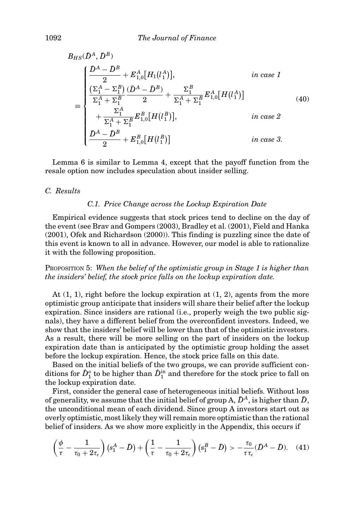$$
B_{HS}(\bar{D}^A, \bar{D}^B)
$$
\n
$$
\equiv \begin{cases}\n\frac{\bar{D}^A - \bar{D}^B}{2} + E_{1,0}^A[H_1(l_1^A)], & \text{in case 1} \\
\frac{(\Sigma_1^A - \Sigma_1^B)}{\Sigma_1^A + \Sigma_1^B} \frac{(\bar{D}^A - \bar{D}^B)}{2} + \frac{\Sigma_1^B}{\Sigma_1^A + \Sigma_1^B} E_{1,0}^A[H(l_1^A)] \\
+ \frac{\Sigma_1^A}{\Sigma_1^A + \Sigma_1^B} E_{1,0}^B[H(l_1^B)], & \text{in case 2} \\
\frac{\bar{D}^A - \bar{D}^B}{2} + E_{1,0}^B[H(l_1^B)] & \text{in case 3}.\n\end{cases}
$$
\n(40)

Lemma 6 is similar to Lemma 4, except that the payoff function from the resale option now includes speculation about insider selling.

#### *C. Results*

## *C.1. Price Change across the Lockup Expiration Date*

Empirical evidence suggests that stock prices tend to decline on the day of the event (see Brav and Gompers (2003), Bradley et al. (2001), Field and Hanka (2001), Ofek and Richardson (2000)). This finding is puzzling since the date of this event is known to all in advance. However, our model is able to rationalize it with the following proposition.

PROPOSITION 5: *When the belief of the optimistic group in Stage 1 is higher than the insiders' belief, the stock price falls on the lockup expiration date.*

At  $(1, 1)$ , right before the lockup expiration at  $(1, 2)$ , agents from the more optimistic group anticipate that insiders will share their belief after the lockup expiration. Since insiders are rational (i.e., properly weigh the two public signals), they have a different belief from the overconfident investors. Indeed, we show that the insiders' belief will be lower than that of the optimistic investors. As a result, there will be more selling on the part of insiders on the lockup expiration date than is anticipated by the optimistic group holding the asset before the lockup expiration. Hence, the stock price falls on this date.

Based on the initial beliefs of the two groups, we can provide sufficient conditions for  $\hat{D}_{1}^{o}$  to be higher than  $\hat{D}_{1}^{\textrm{in}}$  and therefore for the stock price to fall on the lockup expiration date.

First, consider the general case of heterogeneous initial beliefs. Without loss of generality, we assume that the initial belief of group A,  $\bar{D}^A$ , is higher than  $\bar{D}$ , the unconditional mean of each dividend. Since group A investors start out as overly optimistic, most likely they will remain more optimistic than the rational belief of insiders. As we show more explicitly in the Appendix, this occurs if

$$
\left(\frac{\phi}{\tau}-\frac{1}{\tau_0+2\tau_{\epsilon}}\right)(s_1^A-D)+\left(\frac{1}{\tau}-\frac{1}{\tau_0+2\tau_{\epsilon}}\right)(s_1^B-D) > -\frac{\tau_0}{\tau\tau_{\epsilon}}(D^A-D). \quad (41)
$$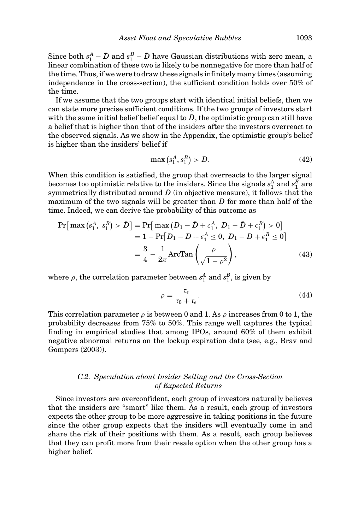Since both  $s_1^A - \bar{D}$  and  $s_1^B - \bar{D}$  have Gaussian distributions with zero mean, a linear combination of these two is likely to be nonnegative for more than half of the time. Thus, if we were to draw these signals infinitely many times (assuming independence in the cross-section), the sufficient condition holds over 50% of the time.

If we assume that the two groups start with identical initial beliefs, then we can state more precise sufficient conditions. If the two groups of investors start with the same initial belief belief equal to  $\bar{D}$ , the optimistic group can still have a belief that is higher than that of the insiders after the investors overreact to the observed signals. As we show in the Appendix, the optimistic group's belief is higher than the insiders' belief if

$$
\max\left(s_1^A, s_1^B\right) > \bar{D}.\tag{42}
$$

When this condition is satisfied, the group that overreacts to the larger signal becomes too optimistic relative to the insiders. Since the signals  $s_1^A$  and  $s_1^B$  are symmetrically distributed around  $\bar{D}$  (in objective measure), it follows that the maximum of the two signals will be greater than  $\bar{D}$  for more than half of the time. Indeed, we can derive the probability of this outcome as

$$
\Pr[\max(s_1^A, s_1^B) > \bar{D}] = \Pr[\max(D_1 - \bar{D} + \epsilon_1^A, D_1 - \bar{D} + \epsilon_1^B) > 0] \n= 1 - \Pr[D_1 - \bar{D} + \epsilon_1^A \le 0, D_1 - \bar{D} + \epsilon_1^B \le 0] \n= \frac{3}{4} - \frac{1}{2\pi} ArcTan\left(\frac{\rho}{\sqrt{1 - \rho^2}}\right),
$$
\n(43)

where  $\rho$ , the correlation parameter between  $s_1^A$  and  $s_1^B$ , is given by

$$
\rho = \frac{\tau_{\epsilon}}{\tau_0 + \tau_{\epsilon}}.\tag{44}
$$

This correlation parameter  $\rho$  is between 0 and 1. As  $\rho$  increases from 0 to 1, the probability decreases from 75% to 50%. This range well captures the typical finding in empirical studies that among IPOs, around 60% of them exhibit negative abnormal returns on the lockup expiration date (see, e.g., Brav and Gompers (2003)).

# *C.2. Speculation about Insider Selling and the Cross-Section of Expected Returns*

Since investors are overconfident, each group of investors naturally believes that the insiders are "smart" like them. As a result, each group of investors expects the other group to be more aggressive in taking positions in the future since the other group expects that the insiders will eventually come in and share the risk of their positions with them. As a result, each group believes that they can profit more from their resale option when the other group has a higher belief.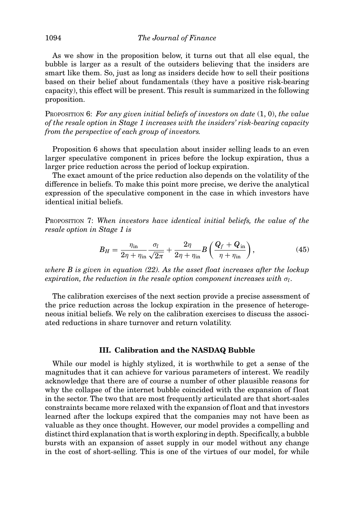As we show in the proposition below, it turns out that all else equal, the bubble is larger as a result of the outsiders believing that the insiders are smart like them. So, just as long as insiders decide how to sell their positions based on their belief about fundamentals (they have a positive risk-bearing capacity), this effect will be present. This result is summarized in the following proposition.

PROPOSITION 6: *For any given initial beliefs of investors on date* (1, 0), *the value of the resale option in Stage 1 increases with the insiders' risk-bearing capacity from the perspective of each group of investors.*

Proposition 6 shows that speculation about insider selling leads to an even larger speculative component in prices before the lockup expiration, thus a larger price reduction across the period of lockup expiration.

The exact amount of the price reduction also depends on the volatility of the difference in beliefs. To make this point more precise, we derive the analytical expression of the speculative component in the case in which investors have identical initial beliefs.

PROPOSITION 7: *When investors have identical initial beliefs, the value of the resale option in Stage 1 is*

$$
B_H = \frac{\eta_{\rm in}}{2\eta + \eta_{\rm in}} \frac{\sigma_l}{\sqrt{2\pi}} + \frac{2\eta}{2\eta + \eta_{\rm in}} B\left(\frac{Q_f + Q_{\rm in}}{\eta + \eta_{\rm in}}\right),\tag{45}
$$

*where B is given in equation (22). As the asset float increases after the lockup expiration, the reduction in the resale option component increases with* σ*<sup>l</sup>* .

The calibration exercises of the next section provide a precise assessment of the price reduction across the lockup expiration in the presence of heterogeneous initial beliefs. We rely on the calibration exercises to discuss the associated reductions in share turnover and return volatility.

## **III. Calibration and the NASDAQ Bubble**

While our model is highly stylized, it is worthwhile to get a sense of the magnitudes that it can achieve for various parameters of interest. We readily acknowledge that there are of course a number of other plausible reasons for why the collapse of the internet bubble coincided with the expansion of float in the sector. The two that are most frequently articulated are that short-sales constraints became more relaxed with the expansion of float and that investors learned after the lockups expired that the companies may not have been as valuable as they once thought. However, our model provides a compelling and distinct third explanation that is worth exploring in depth. Specifically, a bubble bursts with an expansion of asset supply in our model without any change in the cost of short-selling. This is one of the virtues of our model, for while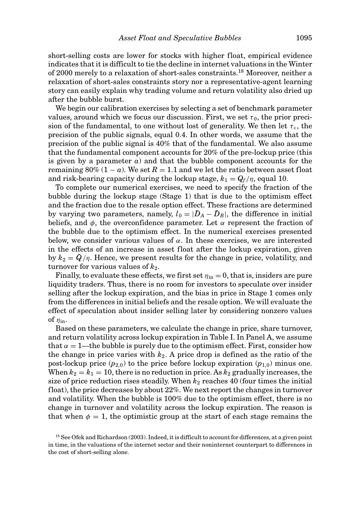short-selling costs are lower for stocks with higher float, empirical evidence indicates that it is difficult to tie the decline in internet valuations in the Winter of 2000 merely to a relaxation of short-sales constraints.<sup>18</sup> Moreover, neither a relaxation of short-sales constraints story nor a representative-agent learning story can easily explain why trading volume and return volatility also dried up after the bubble burst.

We begin our calibration exercises by selecting a set of benchmark parameter values, around which we focus our discussion. First, we set  $\tau_0$ , the prior precision of the fundamental, to one without lost of generality. We then let  $\tau_{\epsilon}$ , the precision of the public signals, equal 0.4. In other words, we assume that the precision of the public signal is 40% that of the fundamental. We also assume that the fundamental component accounts for 20% of the pre-lockup price (this is given by a parameter  $a$ ) and that the bubble component accounts for the remaining 80%  $(1 - a)$ . We set  $R = 1.1$  and we let the ratio between asset float and risk-bearing capacity during the lockup stage,  $k_1 = Q_f/\eta$ , equal 10.

To complete our numerical exercises, we need to specify the fraction of the bubble during the lockup stage (Stage 1) that is due to the optimism effect and the fraction due to the resale option effect. These fractions are determined by varying two parameters, namely,  $l_0 = |\bar{D}_A - \bar{D}_B|$ , the difference in initial beliefs, and  $\phi$ , the overconfidence parameter. Let  $\alpha$  represent the fraction of the bubble due to the optimism effect. In the numerical exercises presented below, we consider various values of  $\alpha$ . In these exercises, we are interested in the effects of an increase in asset float after the lockup expiration, given by  $k_2 = \bar{Q}/\eta$ . Hence, we present results for the change in price, volatility, and turnover for various values of  $k_2$ .

Finally, to evaluate these effects, we first set  $\eta_{in} = 0$ , that is, insiders are pure liquidity traders. Thus, there is no room for investors to speculate over insider selling after the lockup expiration, and the bias in price in Stage 1 comes only from the differences in initial beliefs and the resale option. We will evaluate the effect of speculation about insider selling later by considering nonzero values of  $\eta_{\text{in}}$ .

Based on these parameters, we calculate the change in price, share turnover, and return volatility across lockup expiration in Table I. In Panel A, we assume that  $\alpha = 1$ —the bubble is purely due to the optimism effect. First, consider how the change in price varies with  $k_2$ . A price drop is defined as the ratio of the post-lockup price  $(p_{2,0})$  to the price before lockup expiration  $(p_{1,0})$  minus one. When  $k_2 = k_1 = 10$ , there is no reduction in price. As  $k_2$  gradually increases, the size of price reduction rises steadily. When  $k_2$  reaches 40 (four times the initial float), the price decreases by about 22%. We next report the changes in turnover and volatility. When the bubble is 100% due to the optimism effect, there is no change in turnover and volatility across the lockup expiration. The reason is that when  $\phi = 1$ , the optimistic group at the start of each stage remains the

<sup>&</sup>lt;sup>18</sup> See Ofek and Richardson (2003). Indeed, it is difficult to account for differences, at a given point in time, in the valuations of the internet sector and their noninternet counterpart to differences in the cost of short-selling alone.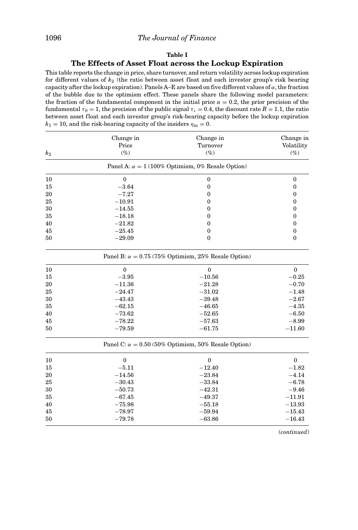# **Table I**

# **The Effects of Asset Float across the Lockup Expiration**

This table reports the change in price, share turnover, and return volatility across lockup expiration for different values of *k*<sup>2</sup> (the ratio between asset float and each investor group's risk bearing capacity after the lockup expiration). Panels A–E are based on five different values of α, the fraction of the bubble due to the optimism effect. These panels share the following model parameters: the fraction of the fundamental component in the initial price  $a = 0.2$ , the prior precision of the fundamental  $\tau_0 = 1$ , the precision of the public signal  $\tau_{\epsilon} = 0.4$ , the discount rate  $R = 1.1$ , the ratio between asset float and each investor group's risk-bearing capacity before the lockup expiration  $k_1 = 10$ , and the risk-bearing capacity of the insiders  $\eta_{\text{in}} = 0$ .

|       | Change in<br>Price | Change in<br>Turnover                                      | Change in<br>Volatility |
|-------|--------------------|------------------------------------------------------------|-------------------------|
| $k_2$ | $(\%)$             | $(\%)$                                                     | $(\%)$                  |
|       |                    | Panel A: $\alpha = 1$ (100% Optimism, 0% Resale Option)    |                         |
| 10    | $\boldsymbol{0}$   | $\boldsymbol{0}$                                           | $\boldsymbol{0}$        |
| 15    | $-3.64$            | $\mathbf{0}$                                               | $\boldsymbol{0}$        |
| 20    | $-7.27$            | $\boldsymbol{0}$                                           | $\boldsymbol{0}$        |
| 25    | $-10.91$           | 0                                                          | $\boldsymbol{0}$        |
| 30    | $-14.55$           | $\boldsymbol{0}$                                           | $\boldsymbol{0}$        |
| 35    | $-18.18$           | $\mathbf{0}$                                               | $\boldsymbol{0}$        |
| 40    | $-21.82$           | $\mathbf{0}$                                               | $\boldsymbol{0}$        |
| 45    | $-25.45$           | $\boldsymbol{0}$                                           | $\boldsymbol{0}$        |
| 50    | $-29.09$           | $\mathbf{0}$                                               | $\mathbf{0}$            |
|       |                    | Panel B: $\alpha = 0.75$ (75% Optimism, 25% Resale Option) |                         |
| 10    | $\mathbf{0}$       | $\mathbf{0}$                                               | $\mathbf{0}$            |
| 15    | $-3.95$            | $-10.56$                                                   | $-0.25$                 |
| 20    | $-11.36$           | $-21.28$                                                   | $-0.70$                 |
| 25    | $-24.47$           | $-31.02$                                                   | $-1.48$                 |
| 30    | $-43.43$           | $-39.48$                                                   | $-2.67$                 |
| 35    | $-62.15$           | $-46.65$                                                   | $-4.35$                 |
| 40    | $-73.62$           | $-52.65$                                                   | $-6.50$                 |
| 45    | $-78.22$           | $-57.63$                                                   | $-8.99$                 |
| 50    | $-79.59$           | $-61.75$                                                   | $-11.60$                |
|       |                    | Panel C: $\alpha = 0.50$ (50% Optimism, 50% Resale Option) |                         |
| 10    | $\boldsymbol{0}$   | $\boldsymbol{0}$                                           | $\boldsymbol{0}$        |
| 15    | $-5.11$            | $-12.40$                                                   | $-1.82$                 |
| 20    | $-14.56$           | $-23.84$                                                   | $-4.14$                 |
| 25    | $-30.43$           | $-33.84$                                                   | $-6.78$                 |
| 30    | $-50.73$           | $-42.31$                                                   | $-9.46$                 |
| 35    | $-67.45$           | $-49.37$                                                   | $-11.91$                |
| 40    | $-75.98$           | $-55.18$                                                   | $-13.93$                |
| 45    | $-78.97$           | $-59.94$                                                   | $-15.43$                |
| 50    | $-79.78$           | $-63.86$                                                   | $-16.43$                |

(*continued*)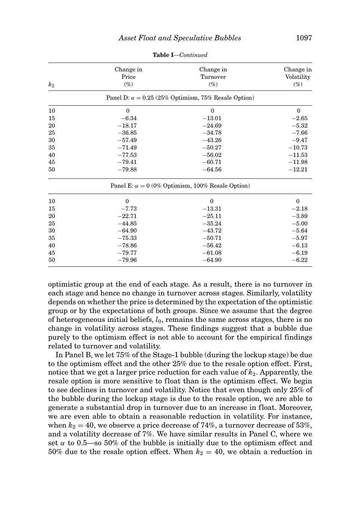|       | Change in<br>Price | Change in<br>Turnover                                      | Change in<br>Volatility |
|-------|--------------------|------------------------------------------------------------|-------------------------|
| $k_2$ | $(\%)$             | $(\%)$                                                     | $(\%)$                  |
|       |                    | Panel D: $\alpha = 0.25$ (25% Optimism, 75% Resale Option) |                         |
| 10    | $\mathbf{0}$       | $\mathbf{0}$                                               | $\mathbf{0}$            |
| 15    | $-6.34$            | $-13.01$                                                   | $-2.65$                 |
| 20    | $-18.17$           | $-24.69$                                                   | $-5.32$                 |
| 25    | $-36.85$           | $-34.78$                                                   | $-7.66$                 |
| 30    | $-57.49$           | $-43.26$                                                   | $-9.47$                 |
| 35    | $-71.49$           | $-50.27$                                                   | $-10.73$                |
| 40    | $-77.53$           | $-56.02$                                                   | $-11.53$                |
| 45    | $-79.41$           | $-60.71$                                                   | $-11.98$                |
| 50    | $-79.88$           | $-64.56$                                                   | $-12.21$                |
|       |                    | Panel E: $\alpha = 0$ (0% Optimism, 100% Resale Option)    |                         |
| 10    | $\theta$           | $\theta$                                                   | $\theta$                |
| 15    | $-7.73$            | $-13.31$                                                   | $-2.18$                 |
| 20    | $-22.71$           | $-25.11$                                                   | $-3.89$                 |
| 25    | $-44.85$           | $-35.24$                                                   | $-5.00$                 |
| 30    | $-64.90$           | $-43.72$                                                   | $-5.64$                 |
| 35    | $-75.33$           | $-50.71$                                                   | $-5.97$                 |
| 40    | $-78.86$           | $-56.42$                                                   | $-6.13$                 |
| 45    | $-79.77$           | $-61.08$                                                   | $-6.19$                 |
| 50    | $-79.96$           | $-64.90$                                                   | $-6.22$                 |
|       |                    |                                                            |                         |

**Table I***—Continued*

optimistic group at the end of each stage. As a result, there is no turnover in each stage and hence no change in turnover across stages. Similarly, volatility depends on whether the price is determined by the expectation of the optimistic group or by the expectations of both groups. Since we assume that the degree of heterogeneous initial beliefs, *l*0, remains the same across stages, there is no change in volatility across stages. These findings suggest that a bubble due purely to the optimism effect is not able to account for the empirical findings related to turnover and volatility.

In Panel B, we let 75% of the Stage-1 bubble (during the lockup stage) be due to the optimism effect and the other 25% due to the resale option effect. First, notice that we get a larger price reduction for each value of *k*2. Apparently, the resale option is more sensitive to float than is the optimism effect. We begin to see declines in turnover and volatility. Notice that even though only 25% of the bubble during the lockup stage is due to the resale option, we are able to generate a substantial drop in turnover due to an increase in float. Moreover, we are even able to obtain a reasonable reduction in volatility. For instance, when  $k_2 = 40$ , we observe a price decrease of 74%, a turnover decrease of 53%, and a volatility decrease of 7%. We have similar results in Panel C, where we set  $\alpha$  to 0.5—so 50% of the bubble is initially due to the optimism effect and 50% due to the resale option effect. When  $k_2 = 40$ , we obtain a reduction in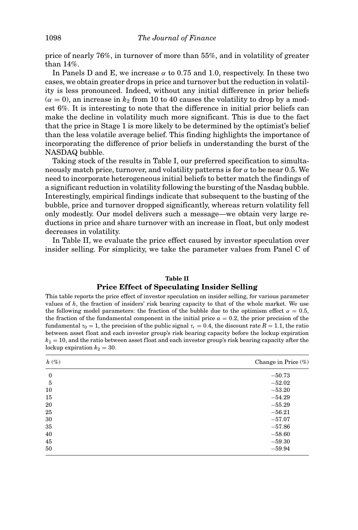price of nearly 76%, in turnover of more than 55%, and in volatility of greater than 14%.

In Panels D and E, we increase  $\alpha$  to 0.75 and 1.0, respectively. In these two cases, we obtain greater drops in price and turnover but the reduction in volatility is less pronounced. Indeed, without any initial difference in prior beliefs  $(\alpha = 0)$ , an increase in  $k_2$  from 10 to 40 causes the volatility to drop by a modest 6%. It is interesting to note that the difference in initial prior beliefs can make the decline in volatility much more significant. This is due to the fact that the price in Stage 1 is more likely to be determined by the optimist's belief than the less volatile average belief. This finding highlights the importance of incorporating the difference of prior beliefs in understanding the burst of the NASDAQ bubble.

Taking stock of the results in Table I, our preferred specification to simultaneously match price, turnover, and volatility patterns is for  $\alpha$  to be near 0.5. We need to incorporate heterogeneous initial beliefs to better match the findings of a significant reduction in volatility following the bursting of the Nasdaq bubble. Interestingly, empirical findings indicate that subsequent to the busting of the bubble, price and turnover dropped significantly, whereas return volatility fell only modestly. Our model delivers such a message—we obtain very large reductions in price and share turnover with an increase in float, but only modest decreases in volatility.

In Table II, we evaluate the price effect caused by investor speculation over insider selling. For simplicity, we take the parameter values from Panel C of

# **Table II Price Effect of Speculating Insider Selling**

This table reports the price effect of investor speculation on insider selling, for various parameter values of *h*, the fraction of insiders' risk bearing capacity to that of the whole market. We use the following model parameters: the fraction of the bubble due to the optimism effect  $\alpha = 0.5$ , the fraction of the fundamental component in the initial price  $a = 0.2$ , the prior precision of the fundamental  $\tau_0 = 1$ , the precision of the public signal  $\tau_{\epsilon} = 0.4$ , the discount rate  $R = 1.1$ , the ratio between asset float and each investor group's risk bearing capacity before the lockup expiration  $k_1 = 10$ , and the ratio between asset float and each investor group's risk bearing capacity after the lockup expiration  $k_2 = 30$ .

| $h(\%)$          | Change in Price (%) |
|------------------|---------------------|
| $\boldsymbol{0}$ | $-50.73$            |
| $\overline{5}$   | $-52.02$            |
| 10               | $-53.20$            |
| 15               | $-54.29$            |
| 20               | $-55.29$            |
| 25               | $-56.21$            |
| 30               | $-57.07$            |
| 35               | $-57.86$            |
| 40               | $-58.60$            |
| 45               | $-59.30$            |
| 50               | $-59.94$            |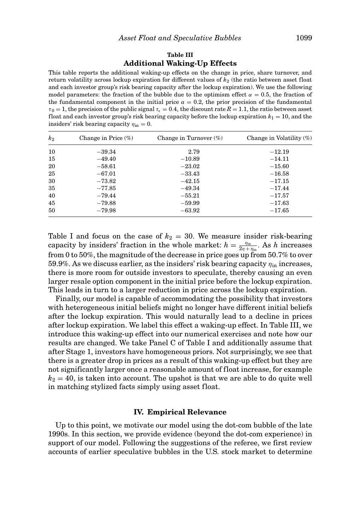## **Table III Additional Waking-Up Effects**

This table reports the additional waking-up effects on the change in price, share turnover, and return volatility across lockup expiration for different values of  $k<sub>2</sub>$  (the ratio between asset float and each investor group's risk bearing capacity after the lockup expiration). We use the following model parameters: the fraction of the bubble due to the optimism effect  $\alpha = 0.5$ , the fraction of the fundamental component in the initial price  $a = 0.2$ , the prior precision of the fundamental  $\tau_0 = 1$ , the precision of the public signal  $\tau_{\epsilon} = 0.4$ , the discount rate  $R = 1.1$ , the ratio between asset float and each investor group's risk bearing capacity before the lockup expiration  $k_1 = 10$ , and the insiders' risk bearing capacity  $\eta_{\rm in} = 0$ .

| $k_2$ | Change in Price $(\%)$ | Change in Turnover $(\%)$ | Change in Volatility $(\%)$ |
|-------|------------------------|---------------------------|-----------------------------|
| 10    | $-39.34$               | 2.79                      | $-12.19$                    |
| 15    | $-49.40$               | $-10.89$                  | $-14.11$                    |
| 20    | $-58.61$               | $-23.02$                  | $-15.60$                    |
| 25    | $-67.01$               | $-33.43$                  | $-16.58$                    |
| 30    | $-73.82$               | $-42.15$                  | $-17.15$                    |
| 35    | $-77.85$               | $-49.34$                  | $-17.44$                    |
| 40    | $-79.44$               | $-55.21$                  | $-17.57$                    |
| 45    | $-79.88$               | $-59.99$                  | $^{-17.63}$                 |
| 50    | $-79.98$               | $-63.92$                  | $-17.65$                    |

Table I and focus on the case of  $k_2 = 30$ . We measure insider risk-bearing capacity by insiders' fraction in the whole market:  $h = \frac{\eta_{\text{in}}}{2\eta + \eta_{\text{in}}}}$ . As *h* increases from 0 to 50%, the magnitude of the decrease in price goes up from 50.7% to over 59.9%. As we discuss earlier, as the insiders' risk bearing capacity  $\eta_{\rm in}$  increases, there is more room for outside investors to speculate, thereby causing an even larger resale option component in the initial price before the lockup expiration. This leads in turn to a larger reduction in price across the lockup expiration.

Finally, our model is capable of accommodating the possibility that investors with heterogeneous initial beliefs might no longer have different initial beliefs after the lockup expiration. This would naturally lead to a decline in prices after lockup expiration. We label this effect a waking-up effect. In Table III, we introduce this waking-up effect into our numerical exercises and note how our results are changed. We take Panel C of Table I and additionally assume that after Stage 1, investors have homogeneous priors. Not surprisingly, we see that there is a greater drop in prices as a result of this waking-up effect but they are not significantly larger once a reasonable amount of float increase, for example  $k_2 = 40$ , is taken into account. The upshot is that we are able to do quite well in matching stylized facts simply using asset float.

## **IV. Empirical Relevance**

Up to this point, we motivate our model using the dot-com bubble of the late 1990s. In this section, we provide evidence (beyond the dot-com experience) in support of our model. Following the suggestions of the referee, we first review accounts of earlier speculative bubbles in the U.S. stock market to determine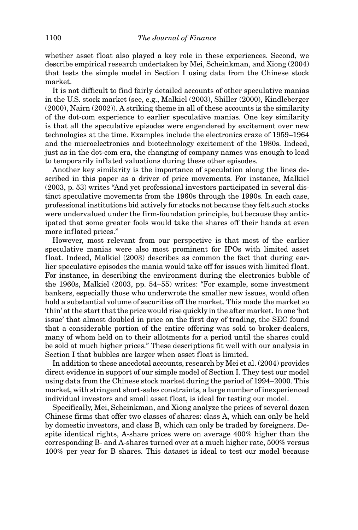whether asset float also played a key role in these experiences. Second, we describe empirical research undertaken by Mei, Scheinkman, and Xiong (2004) that tests the simple model in Section I using data from the Chinese stock market.

It is not difficult to find fairly detailed accounts of other speculative manias in the U.S. stock market (see, e.g., Malkiel (2003), Shiller (2000), Kindleberger (2000), Nairn (2002)). A striking theme in all of these accounts is the similarity of the dot-com experience to earlier speculative manias. One key similarity is that all the speculative episodes were engendered by excitement over new technologies at the time. Examples include the electronics craze of 1959–1964 and the microelectronics and biotechnology excitement of the 1980s. Indeed, just as in the dot-com era, the changing of company names was enough to lead to temporarily inflated valuations during these other episodes.

Another key similarity is the importance of speculation along the lines described in this paper as a driver of price movements. For instance, Malkiel (2003, p. 53) writes "And yet professional investors participated in several distinct speculative movements from the 1960s through the 1990s. In each case, professional institutions bid actively for stocks not because they felt such stocks were undervalued under the firm-foundation principle, but because they anticipated that some greater fools would take the shares off their hands at even more inflated prices."

However, most relevant from our perspective is that most of the earlier speculative manias were also most prominent for IPOs with limited asset float. Indeed, Malkiel (2003) describes as common the fact that during earlier speculative episodes the mania would take off for issues with limited float. For instance, in describing the environment during the electronics bubble of the 1960s, Malkiel (2003, pp. 54–55) writes: "For example, some investment bankers, especially those who underwrote the smaller new issues, would often hold a substantial volume of securities off the market. This made the market so 'thin' at the start that the price would rise quickly in the after market. In one 'hot issue' that almost doubled in price on the first day of trading, the SEC found that a considerable portion of the entire offering was sold to broker-dealers, many of whom held on to their allotments for a period until the shares could be sold at much higher prices." These descriptions fit well with our analysis in Section I that bubbles are larger when asset float is limited.

In addition to these anecdotal accounts, research by Mei et al. (2004) provides direct evidence in support of our simple model of Section I. They test our model using data from the Chinese stock market during the period of 1994–2000. This market, with stringent short-sales constraints, a large number of inexperienced individual investors and small asset float, is ideal for testing our model.

Specifically, Mei, Scheinkman, and Xiong analyze the prices of several dozen Chinese firms that offer two classes of shares: class A, which can only be held by domestic investors, and class B, which can only be traded by foreigners. Despite identical rights, A-share prices were on average 400% higher than the corresponding B- and A-shares turned over at a much higher rate, 500% versus 100% per year for B shares. This dataset is ideal to test our model because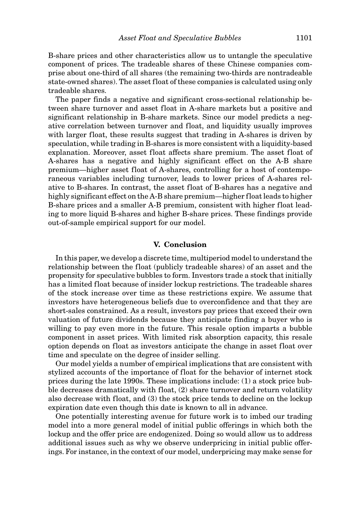B-share prices and other characteristics allow us to untangle the speculative component of prices. The tradeable shares of these Chinese companies comprise about one-third of all shares (the remaining two-thirds are nontradeable state-owned shares). The asset float of these companies is calculated using only tradeable shares.

The paper finds a negative and significant cross-sectional relationship between share turnover and asset float in A-share markets but a positive and significant relationship in B-share markets. Since our model predicts a negative correlation between turnover and float, and liquidity usually improves with larger float, these results suggest that trading in A-shares is driven by speculation, while trading in B-shares is more consistent with a liquidity-based explanation. Moreover, asset float affects share premium. The asset float of A-shares has a negative and highly significant effect on the A-B share premium—higher asset float of A-shares, controlling for a host of contemporaneous variables including turnover, leads to lower prices of A-shares relative to B-shares. In contrast, the asset float of B-shares has a negative and highly significant effect on the A-B share premium—higher float leads to higher B-share prices and a smaller A-B premium, consistent with higher float leading to more liquid B-shares and higher B-share prices. These findings provide out-of-sample empirical support for our model.

## **V. Conclusion**

In this paper, we develop a discrete time, multiperiod model to understand the relationship between the float (publicly tradeable shares) of an asset and the propensity for speculative bubbles to form. Investors trade a stock that initially has a limited float because of insider lockup restrictions. The tradeable shares of the stock increase over time as these restrictions expire. We assume that investors have heterogeneous beliefs due to overconfidence and that they are short-sales constrained. As a result, investors pay prices that exceed their own valuation of future dividends because they anticipate finding a buyer who is willing to pay even more in the future. This resale option imparts a bubble component in asset prices. With limited risk absorption capacity, this resale option depends on float as investors anticipate the change in asset float over time and speculate on the degree of insider selling.

Our model yields a number of empirical implications that are consistent with stylized accounts of the importance of float for the behavior of internet stock prices during the late 1990s. These implications include: (1) a stock price bubble decreases dramatically with float, (2) share turnover and return volatility also decrease with float, and (3) the stock price tends to decline on the lockup expiration date even though this date is known to all in advance.

One potentially interesting avenue for future work is to imbed our trading model into a more general model of initial public offerings in which both the lockup and the offer price are endogenized. Doing so would allow us to address additional issues such as why we observe underpricing in initial public offerings. For instance, in the context of our model, underpricing may make sense for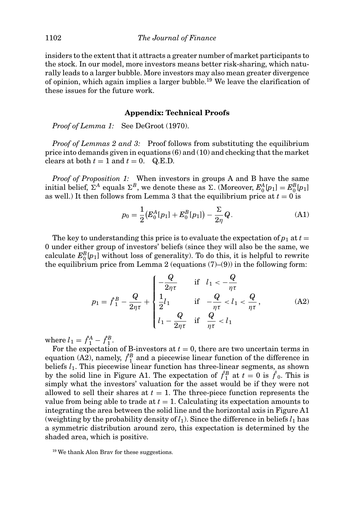insiders to the extent that it attracts a greater number of market participants to the stock. In our model, more investors means better risk-sharing, which naturally leads to a larger bubble. More investors may also mean greater divergence of opinion, which again implies a larger bubble.<sup>19</sup> We leave the clarification of these issues for the future work.

#### **Appendix: Technical Proofs**

*Proof of Lemma 1:* See DeGroot (1970).

*Proof of Lemmas 2 and 3:* Proof follows from substituting the equilibrium price into demands given in equations (6) and (10) and checking that the market clears at both  $t = 1$  and  $t = 0$ . Q.E.D.

*Proof of Proposition 1:* When investors in groups A and B have the same initial belief,  $\Sigma^A$  equals  $\Sigma^B$ , we denote these as  $\Sigma$ . (Moreover,  $E_0^A[p_1] = E_0^B[p_1]$ as well.) It then follows from Lemma 3 that the equilibrium price at  $t = 0$  is

$$
p_0 = \frac{1}{2} (E_0^A[p_1] + E_0^B[p_1]) - \frac{\Sigma}{2\eta} Q.
$$
 (A1)

The key to understanding this price is to evaluate the expectation of  $p_1$  at  $t =$ 0 under either group of investors' beliefs (since they will also be the same, we calculate  $E_0^B[p_1]$  without loss of generality). To do this, it is helpful to rewrite the equilibrium price from Lemma 2 (equations  $(7)-(9)$ ) in the following form:

$$
p_1 = \hat{f}_1^B - \frac{Q}{2\eta\tau} + \begin{cases} -\frac{Q}{2\eta\tau} & \text{if } l_1 < -\frac{Q}{\eta\tau} \\ \frac{1}{2}l_1 & \text{if } -\frac{Q}{\eta\tau} < l_1 < \frac{Q}{\eta\tau}, \\ l_1 - \frac{Q}{2\eta\tau} & \text{if } \frac{Q}{\eta\tau} < l_1 \end{cases}
$$
(A2)

where  $l_1 = \hat{f}_1^A - \hat{f}_1^B$ .

For the expectation of B-investors at  $t = 0$ , there are two uncertain terms in equation (A2), namely,  $f_1^B$  and a piecewise linear function of the difference in beliefs  $l_1$ . This piecewise linear function has three-linear segments, as shown by the solid line in Figure A1. The expectation of  $\hat{f}_1^B$  at  $t = 0$  is  $\hat{f}_0$ . This is simply what the investors' valuation for the asset would be if they were not allowed to sell their shares at  $t = 1$ . The three-piece function represents the value from being able to trade at  $t = 1$ . Calculating its expectation amounts to integrating the area between the solid line and the horizontal axis in Figure A1 (weighting by the probability density of  $l_1$ ). Since the difference in beliefs  $l_1$  has a symmetric distribution around zero, this expectation is determined by the shaded area, which is positive.

<sup>&</sup>lt;sup>19</sup> We thank Alon Brav for these suggestions.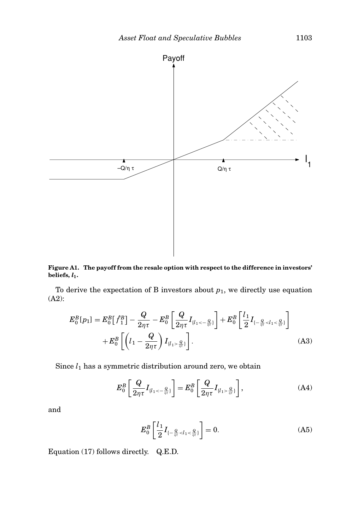

**Figure A1. The payoff from the resale option with respect to the difference in investors'** beliefs,  $l_1$ .

To derive the expectation of B investors about  $p_1$ , we directly use equation (A2):

$$
E_0^B[p_1] = E_0^B \left[ \hat{f}_1^B \right] - \frac{Q}{2\eta \tau} - E_0^B \left[ \frac{Q}{2\eta \tau} I_{\{l_1 < -\frac{Q}{\eta \tau}\}} \right] + E_0^B \left[ \frac{l_1}{2} I_{\{-\frac{Q}{\eta \tau} < l_1 < \frac{Q}{\eta \tau}\}} \right] + E_0^B \left[ \left( l_1 - \frac{Q}{2\eta \tau} \right) I_{\{l_1 > \frac{Q}{\eta \tau}\}} \right]. \tag{A3}
$$

Since  $l_1$  has a symmetric distribution around zero, we obtain

$$
E_0^B \left[ \frac{Q}{2\eta \tau} I_{\{l_1 < -\frac{Q}{\eta \tau}\}} \right] = E_0^B \left[ \frac{Q}{2\eta \tau} I_{\{l_1 > \frac{Q}{\eta \tau}\}} \right],\tag{A4}
$$

and

$$
E_0^B \left[ \frac{l_1}{2} I_{\{-\frac{Q}{\eta t} < l_1 < \frac{Q}{\eta t}\}} \right] = 0. \tag{A5}
$$

Equation (17) follows directly. Q.E.D.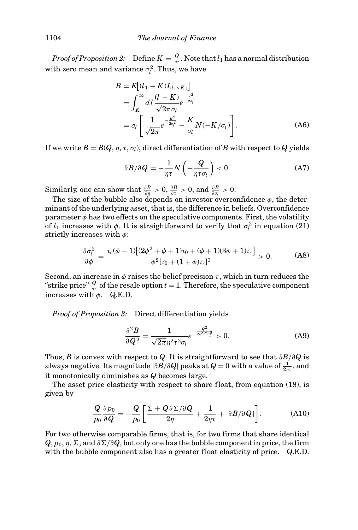$Proof of Proposition 2:$  Define  $K = \frac{Q}{\eta \eta}$  $\frac{Q}{\eta\tau}$ . Note that  $l_1$  has a normal distribution with zero mean and variance  $\sigma_l^2$ . Thus, we have

$$
B = E[(l_1 - K)I_{(l_1 > K)}]
$$
  
=  $\int_K^{\infty} dl \frac{(l - K)}{\sqrt{2\pi} \sigma_l} e^{-\frac{l^2}{2\sigma_l^2}}$   
=  $\sigma_l \left[ \frac{1}{\sqrt{2\pi}} e^{-\frac{K^2}{2\sigma_l^2}} - \frac{K}{\sigma_l} N(-K/\sigma_l) \right].$  (A6)

If we write  $B = B(Q, \eta, \tau, \sigma_l)$ , direct differentiation of *B* with respect to *Q* yields

$$
\partial B/\partial Q = -\frac{1}{\eta \tau} N \left( -\frac{Q}{\eta \tau \sigma_l} \right) < 0. \tag{A7}
$$

Similarly, one can show that  $\frac{\partial B}{\partial \eta} > 0$ ,  $\frac{\partial B}{\partial \tau} > 0$ , and  $\frac{\partial B}{\partial \sigma_l} > 0$ .

The size of the bubble also depends on investor overconfidence  $\phi$ , the determinant of the underlying asset, that is, the difference in beliefs. Overconfidence parameter  $\phi$  has two effects on the speculative components. First, the volatility of  $l_1$  increases with  $\phi$ . It is straightforward to verify that  $\sigma_l^2$  in equation (21) strictly increases with  $\phi$ :

$$
\frac{\partial \sigma_l^2}{\partial \phi} = \frac{\tau_{\epsilon}(\phi - 1)[(2\phi^2 + \phi + 1)\tau_0 + (\phi + 1)(3\phi + 1)\tau_{\epsilon}]}{\phi^2[\tau_0 + (1 + \phi)\tau_{\epsilon}]^3} > 0.
$$
 (A8)

Second, an increase in  $\phi$  raises the belief precision  $\tau$ , which in turn reduces the "strike price"  $\frac{Q}{\eta\tau}$  of the resale option  $t=1$ . Therefore, the speculative component increases with  $\phi$ . Q.E.D.

*Proof of Proposition 3:* Direct differentiation yields

$$
\frac{\partial^2 B}{\partial Q^2} = \frac{1}{\sqrt{2\pi} \eta^2 \tau^2 \sigma_l} e^{-\frac{Q^2}{2\eta^2 \tau^2 \sigma_l^2}} > 0.
$$
 (A9)

Thus, *B* is convex with respect to *Q*. It is straightforward to see that ∂*B*/∂*Q* is always negative. Its magnitude  $|\partial B/\partial Q|$  peaks at  $Q=0$  with a value of  $\frac{1}{2\eta\tau},$  and it monotonically diminishes as *Q* becomes large.

The asset price elasticity with respect to share float, from equation (18), is given by

$$
\frac{Q}{p_0}\frac{\partial p_0}{\partial Q} = -\frac{Q}{p_0} \left[ \frac{\Sigma + Q \partial \Sigma / \partial Q}{2\eta} + \frac{1}{2\eta \tau} + |\partial B / \partial Q| \right]. \tag{A10}
$$

For two otherwise comparable firms, that is, for two firms that share identical  $Q, p_0, \eta, \Sigma$ , and  $\partial \Sigma/\partial Q$ , but only one has the bubble component in price, the firm with the bubble component also has a greater float elasticity of price. Q.E.D.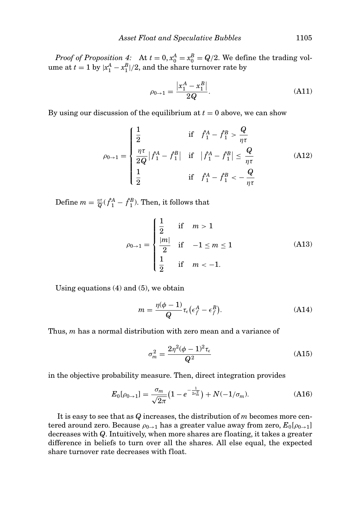*Proof of Proposition 4:* At  $t = 0$ ,  $x_0^A = x_0^B = Q/2$ . We define the trading volume at  $t = 1$  by  $|x_1^A - x_1^B|/2$ , and the share turnover rate by

$$
\rho_{0\to 1} = \frac{|x_1^A - x_1^B|}{2Q}.
$$
\n(A11)

By using our discussion of the equilibrium at  $t = 0$  above, we can show

$$
\rho_{0\to 1} = \begin{cases} \frac{1}{2} & \text{if } f_1^A - f_1^B > \frac{Q}{\eta \tau} \\ \frac{\eta \tau}{2Q} |f_1^A - f_1^B| & \text{if } |f_1^A - f_1^B| \le \frac{Q}{\eta \tau} \\ \frac{1}{2} & \text{if } f_1^A - f_1^B < -\frac{Q}{\eta \tau} \end{cases} \tag{A12}
$$

Define  $m = \frac{\eta \tau}{Q} (\hat{f}_1^A - \hat{f}_1^B)$ . Then, it follows that

$$
\rho_{0\to 1} = \begin{cases} \frac{1}{2} & \text{if } m > 1 \\ \frac{|m|}{2} & \text{if } -1 \le m \le 1 \\ \frac{1}{2} & \text{if } m < -1. \end{cases}
$$
 (A13)

Using equations (4) and (5), we obtain

$$
m = \frac{\eta(\phi - 1)}{Q} \tau_{\epsilon} (\epsilon_f^A - \epsilon_f^B). \tag{A14}
$$

Thus, *m* has a normal distribution with zero mean and a variance of

$$
\sigma_m^2 = \frac{2\eta^2(\phi - 1)^2 \tau_{\epsilon}}{Q^2} \tag{A15}
$$

in the objective probability measure. Then, direct integration provides

$$
E_0[\rho_{0\to 1}] = \frac{\sigma_m}{\sqrt{2\pi}} \left(1 - e^{-\frac{1}{2\sigma_m^2}}\right) + N(-1/\sigma_m). \tag{A16}
$$

It is easy to see that as *Q* increases, the distribution of *m* becomes more centered around zero. Because  $\rho_{0\rightarrow 1}$  has a greater value away from zero,  $E_0[\rho_{0\rightarrow 1}]$ decreases with *Q*. Intuitively, when more shares are floating, it takes a greater difference in beliefs to turn over all the shares. All else equal, the expected share turnover rate decreases with float.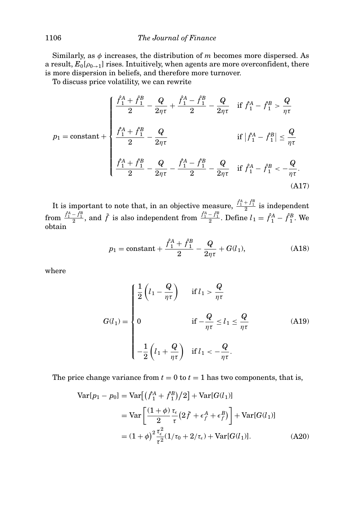Similarly, as  $\phi$  increases, the distribution of  $m$  becomes more dispersed. As a result,  $E_0[\rho_{0\to1}]$  rises. Intuitively, when agents are more overconfident, there is more dispersion in beliefs, and therefore more turnover.

To discuss price volatility, we can rewrite

$$
p_1 = \text{constant} + \begin{cases} \frac{\hat{f}_1^A + \hat{f}_1^B}{2} - \frac{Q}{2\eta\tau} + \frac{\hat{f}_1^A - \hat{f}_1^B}{2} - \frac{Q}{2\eta\tau} & \text{if } \hat{f}_1^A - \hat{f}_1^B > \frac{Q}{\eta\tau} \\ \frac{\hat{f}_1^A + \hat{f}_1^B}{2} - \frac{Q}{2\eta\tau} & \text{if } |\hat{f}_1^A - \hat{f}_1^B| \le \frac{Q}{\eta\tau} \\ \frac{\hat{f}_1^A + \hat{f}_1^B}{2} - \frac{Q}{2\eta\tau} - \frac{\hat{f}_1^A - \hat{f}_1^B}{2} - \frac{Q}{2\eta\tau} & \text{if } \hat{f}_1^A - \hat{f}_1^B < -\frac{Q}{\eta\tau}. \end{cases}
$$
\n(A17)

It is important to note that, in an objective measure,  $\frac{f_1^A + f_1^B}{2}$  is independent from  $\frac{f_1^A - f_1^B}{2}$ , and  $\tilde{f}$  is also independent from  $\frac{f_1^A - f_1^B}{2}$ . Define  $l_1 = f_1^A - f_1^B$ . We obtain

$$
p_1 = \text{constant} + \frac{f_1^A + f_1^B}{2} - \frac{Q}{2\eta\tau} + G(l_1),\tag{A18}
$$

where

$$
G(l_1) = \begin{cases} \frac{1}{2} \left( l_1 - \frac{Q}{\eta \tau} \right) & \text{if } l_1 > \frac{Q}{\eta \tau} \\ 0 & \text{if } -\frac{Q}{\eta \tau} \le l_1 \le \frac{Q}{\eta \tau} \\ -\frac{1}{2} \left( l_1 + \frac{Q}{\eta \tau} \right) & \text{if } l_1 < -\frac{Q}{\eta \tau} .\end{cases} \tag{A19}
$$

The price change variance from  $t = 0$  to  $t = 1$  has two components, that is,

$$
\text{Var}[p_1 - p_0] = \text{Var}\left[\left(\hat{f}_1^A + \hat{f}_1^B\right)/2\right] + \text{Var}[G(l_1)]
$$
  
= 
$$
\text{Var}\left[\frac{(1+\phi)}{2}\frac{\tau_{\epsilon}}{\tau}(2\tilde{f} + \epsilon_f^A + \epsilon_f^B)\right] + \text{Var}[G(l_1)]
$$
  
= 
$$
(1+\phi)^2 \frac{\tau_{\epsilon}^2}{\tau^2}(1/\tau_0 + 2/\tau_{\epsilon}) + \text{Var}[G(l_1)].
$$
 (A20)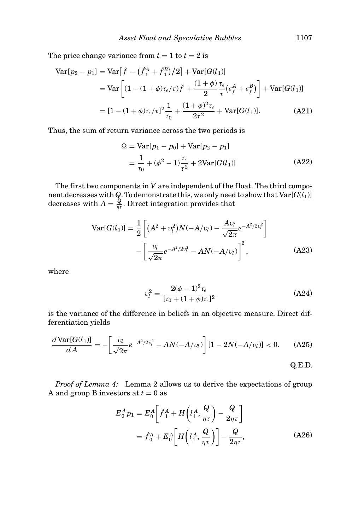The price change variance from  $t = 1$  to  $t = 2$  is

$$
\begin{split} \text{Var}[p_2 - p_1] &= \text{Var}\big[\tilde{f} - \big(\tilde{f}_1^A + \tilde{f}_1^B\big)/2\big] + \text{Var}[G(l_1)] \\ &= \text{Var}\bigg[(1 - (1 + \phi)\tau_\epsilon/\tau)\tilde{f} + \frac{(1 + \phi)}{2}\frac{\tau_\epsilon}{\tau}\big(\epsilon_f^A + \epsilon_f^B\big)\bigg] + \text{Var}[G(l_1)] \\ &= [1 - (1 + \phi)\tau_\epsilon/\tau]^2 \frac{1}{\tau_0} + \frac{(1 + \phi)^2 \tau_\epsilon}{2\tau^2} + \text{Var}[G(l_1)]. \end{split} \tag{A21}
$$

Thus, the sum of return variance across the two periods is

$$
\Omega = \text{Var}[p_1 - p_0] + \text{Var}[p_2 - p_1]
$$
  
=  $\frac{1}{\tau_0} + (\phi^2 - 1)\frac{\tau_{\epsilon}}{\tau^2} + 2\text{Var}[G(l_1)].$  (A22)

The first two components in *V* are independent of the float. The third component decreases with  $Q$ . To demonstrate this, we only need to show that  $\text{Var}[G(l_1)]$  $\frac{Q}{\eta}$  decreases with  $A = \frac{Q}{\eta}$  $\frac{Q}{\eta\tau}$ . Direct integration provides that

$$
\text{Var}[G(l_1)] = \frac{1}{2} \left[ (A^2 + v_l^2) N(-A/v_l) - \frac{Av_l}{\sqrt{2\pi}} e^{-A^2/2v_l^2} \right] - \left[ \frac{v_l}{\sqrt{2\pi}} e^{-A^2/2v_l^2} - AN(-A/v_l) \right]^2, \tag{A23}
$$

where

$$
\upsilon_l^2 = \frac{2(\phi - 1)^2 \tau_{\epsilon}}{[\tau_0 + (1 + \phi)\tau_{\epsilon}]^2}
$$
 (A24)

is the variance of the difference in beliefs in an objective measure. Direct differentiation yields

$$
\frac{d \text{Var}[G(l_1)]}{dA} = -\left[\frac{\nu_l}{\sqrt{2\pi}}e^{-A^2/2\nu_l^2} - AN(-A/\nu_l)\right][1 - 2N(-A/\nu_l)] < 0. \tag{A25}
$$
\n
$$
\text{Q.E.D.}
$$

*Proof of Lemma 4:* Lemma 2 allows us to derive the expectations of group A and group B investors at  $t = 0$  as

$$
E_0^A p_1 = E_0^A \bigg[ f_1^A + H \bigg( l_1^A, \frac{Q}{\eta \tau} \bigg) - \frac{Q}{2\eta \tau} \bigg]
$$
  
=  $\hat{f}_0^A + E_0^A \bigg[ H \bigg( l_1^A, \frac{Q}{\eta \tau} \bigg) \bigg] - \frac{Q}{2\eta \tau},$  (A26)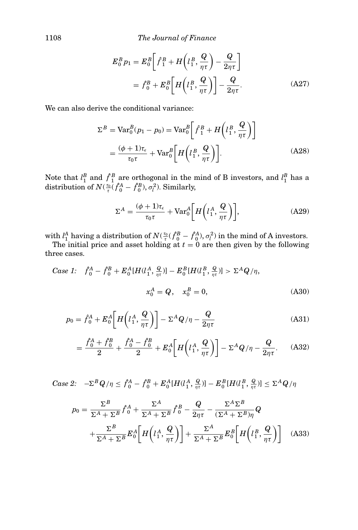1108 *The Journal of Finance*

$$
E_0^B p_1 = E_0^B \left[ \hat{f}_1^B + H \left( l_1^B, \frac{Q}{\eta \tau} \right) - \frac{Q}{2\eta \tau} \right]
$$
  
=  $\hat{f}_0^B + E_0^B \left[ H \left( l_1^B, \frac{Q}{\eta \tau} \right) \right] - \frac{Q}{2\eta \tau}.$  (A27)

We can also derive the conditional variance:

$$
\Sigma^{B} = \text{Var}_{0}^{B}(p_{1} - p_{0}) = \text{Var}_{0}^{B} \left[ f_{1}^{B} + H \left( l_{1}^{B}, \frac{Q}{\eta \tau} \right) \right]
$$

$$
= \frac{(\phi + 1)\tau_{\epsilon}}{\tau_{0}\tau} + \text{Var}_{0}^{B} \left[ H \left( l_{1}^{B}, \frac{Q}{\eta \tau} \right) \right]. \tag{A28}
$$

Note that  $l_1^B$  and  $\hat{f}_1^B$  are orthogonal in the mind of B investors, and  $l_1^B$  has a distribution of  $N(\frac{\tau_0}{\tau}(\hat{f}_0^A - \hat{f}_0^B), \sigma_l^2)$ . Similarly,

$$
\Sigma^{A} = \frac{(\phi + 1)\tau_{\epsilon}}{\tau_{0}\tau} + \text{Var}_{0}^{A} \bigg[ H\bigg(l_{1}^{A}, \frac{Q}{\eta\tau}\bigg) \bigg],\tag{A29}
$$

with  $l_1^A$  having a distribution of  $N(\frac{\tau_0}{\tau}(\hat{f}_0^B - \hat{f}_0^A), \sigma_l^2)$  in the mind of A investors.

The initial price and asset holding at  $t = 0$  are then given by the following three cases.

Case 1: 
$$
\hat{f}_0^A - \hat{f}_0^B + E_0^A [H(l_1^A, \frac{Q}{\eta \tau})] - E_0^B [H(l_1^B, \frac{Q}{\eta \tau})] > \Sigma^A Q/\eta,
$$
  
 $x_0^A = Q, \quad x_0^B = 0,$  (A30)

$$
p_0 = \hat{f}_0^A + E_0^A \bigg[ H\bigg(l_1^A, \frac{Q}{\eta \tau}\bigg) \bigg] - \Sigma^A Q/\eta - \frac{Q}{2\eta \tau} \tag{A31}
$$

$$
= \frac{\hat{f}_0^A + \hat{f}_0^B}{2} + \frac{\hat{f}_0^A - \hat{f}_0^B}{2} + E_0^A \bigg[ H\bigg(l_1^A, \frac{Q}{\eta \tau}\bigg) \bigg] - \Sigma^A Q/\eta - \frac{Q}{2\eta \tau}.
$$
 (A32)

 $Case 2: \quad -\Sigma^B Q/\eta \leq f_0^A - f_0^B + E_0^A [H(l_1^A, \frac{Q}{\eta \eta})]$  $[\frac{Q}{\eta\tau})] - E_0^B[H(l_1^B,\frac{Q}{\eta\eta})]$  $\frac{Q}{\eta\tau}]$ ]  $\leq \Sigma^A Q/\eta$ 

$$
p_0 = \frac{\Sigma^B}{\Sigma^A + \Sigma^B} f_0^A + \frac{\Sigma^A}{\Sigma^A + \Sigma^B} f_0^B - \frac{Q}{2\eta\tau} - \frac{\Sigma^A \Sigma^B}{(\Sigma^A + \Sigma^B)\eta} Q
$$

$$
+ \frac{\Sigma^B}{\Sigma^A + \Sigma^B} E_0^A \bigg[ H \bigg( l_1^A, \frac{Q}{\eta\tau} \bigg) \bigg] + \frac{\Sigma^A}{\Sigma^A + \Sigma^B} E_0^B \bigg[ H \bigg( l_1^B, \frac{Q}{\eta\tau} \bigg) \bigg] \tag{A33}
$$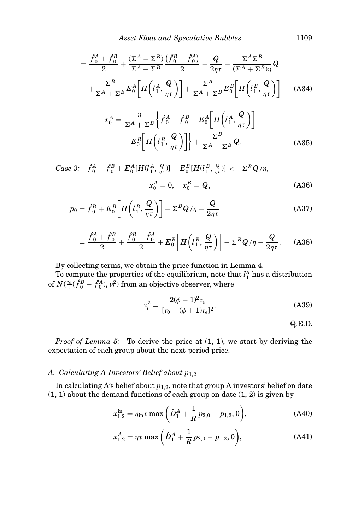$$
= \frac{\hat{f}_0^A + \hat{f}_0^B}{2} + \frac{(\Sigma^A - \Sigma^B)}{\Sigma^A + \Sigma^B} \frac{(\hat{f}_0^B - \hat{f}_0^A)}{2} - \frac{Q}{2\eta\tau} - \frac{\Sigma^A \Sigma^B}{(\Sigma^A + \Sigma^B)\eta} Q
$$

$$
+ \frac{\Sigma^B}{\Sigma^A + \Sigma^B} E_0^A \left[ H \left( l_1^A, \frac{Q}{\eta\tau} \right) \right] + \frac{\Sigma^A}{\Sigma^A + \Sigma^B} E_0^B \left[ H \left( l_1^B, \frac{Q}{\eta\tau} \right) \right] \tag{A34}
$$

$$
x_0^A = \frac{\eta}{\Sigma^A + \Sigma^B} \left\{ f_0^A - f_0^B + E_0^A \left[ H \left( l_1^A, \frac{Q}{\eta \tau} \right) \right] - E_0^B \left[ H \left( l_1^B, \frac{Q}{\eta \tau} \right) \right] \right\} + \frac{\Sigma^B}{\Sigma^A + \Sigma^B} Q. \tag{A35}
$$

 $Case 3:$   $f_0^A - f_0^B + E_0^A[H(l_1^A, \frac{Q}{\eta \eta \eta})]$  $[\frac{Q}{\eta\tau})] - E_0^B[H(l_1^B,\frac{Q}{\eta\eta})]$  $\frac{Q}{\eta\tau}]$  <  $-\Sigma^B Q/\eta$ ,  $x_0^A = 0$ ,  $x_0^B = Q$ , (A36)

$$
p_0 = \hat{f}_0^B + E_0^B \bigg[ H \bigg( l_1^B, \frac{Q}{\eta \tau} \bigg) \bigg] - \Sigma^B Q / \eta - \frac{Q}{2 \eta \tau} \tag{A37}
$$

$$
= \frac{\hat{f}_0^A + \hat{f}_0^B}{2} + \frac{\hat{f}_0^B - \hat{f}_0^A}{2} + E_0^B \bigg[ H\bigg(l_1^B, \frac{Q}{\eta \tau}\bigg) \bigg] - \Sigma^B Q/\eta - \frac{Q}{2\eta \tau}.
$$
 (A38)

By collecting terms, we obtain the price function in Lemma 4.

To compute the properties of the equilibrium, note that  $l_1^A$  has a distribution of  $N(\frac{\tau_0}{\tau}(\hat{f}_0^B - \hat{f}_0^A), v_l^2)$  from an objective observer, where

$$
v_l^2 = \frac{2(\phi - 1)^2 \tau_{\epsilon}}{[\tau_0 + (\phi + 1)\tau_{\epsilon}]^2}.
$$
 (A39)

Q.E.D.

*Proof of Lemma 5:* To derive the price at (1, 1), we start by deriving the expectation of each group about the next-period price.

# *A. Calculating A-Investors' Belief about p*1,2

In calculating A's belief about  $p_{1,2}$ , note that group A investors' belief on date (1, 1) about the demand functions of each group on date (1, 2) is given by

$$
x_{1,2}^{\text{in}} = \eta_{\text{in}} \tau \max\left(\hat{D}_1^A + \frac{1}{R}p_{2,0} - p_{1,2}, 0\right),\tag{A40}
$$

$$
x_{1,2}^A = \eta \tau \max\left(\hat{D}_1^A + \frac{1}{R}p_{2,0} - p_{1,2}, 0\right),\tag{A41}
$$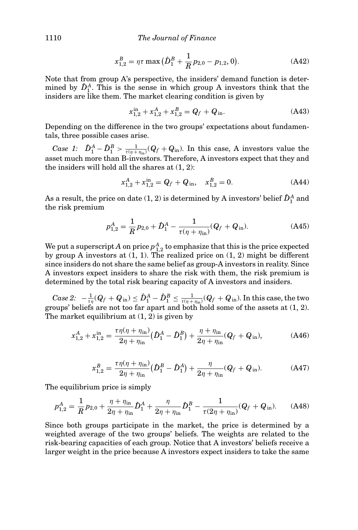$$
x_{1,2}^B = \eta \tau \max \left( \hat{D}_1^B + \frac{1}{R} p_{2,0} - p_{1,2}, 0 \right).
$$
 (A42)

Note that from group A's perspective, the insiders' demand function is determined by  $\hat{D}_1^A$ . This is the sense in which group A investors think that the insiders are like them. The market clearing condition is given by

$$
x_{1,2}^{\text{in}} + x_{1,2}^A + x_{1,2}^B = Q_f + Q_{\text{in}}.\tag{A43}
$$

Depending on the difference in the two groups' expectations about fundamentals, three possible cases arise.

*Case 1:*  $\hat{D}_1^A - \hat{D}_1^B > \frac{1}{\tau(\eta + \eta_{\text{in}})} (Q_f + Q_{\text{in}})$ . In this case, A investors value the asset much more than B-investors. Therefore, A investors expect that they and the insiders will hold all the shares at  $(1, 2)$ :

$$
x_{1,2}^A + x_{1,2}^{\text{in}} = Q_f + Q_{\text{in}}, \quad x_{1,2}^B = 0. \tag{A44}
$$

As a result, the price on date  $(1, 2)$  is determined by A investors' belief  $\hat{D}_{1}^{A}$  and the risk premium

$$
p_{1,2}^A = \frac{1}{R}p_{2,0} + \hat{D}_1^A - \frac{1}{\tau(\eta + \eta_{\text{in}})}(Q_f + Q_{\text{in}}).
$$
 (A45)

We put a superscript *A* on price  $p_{1,2}^A$  to emphasize that this is the price expected by group A investors at  $(1, 1)$ . The realized price on  $(1, 2)$  might be different since insiders do not share the same belief as group-A investors in reality. Since A investors expect insiders to share the risk with them, the risk premium is determined by the total risk bearing capacity of A investors and insiders.

 $Case 2: \quad -\frac{1}{\tau\eta}(Q_f+Q_{\text{in}}) \leq \hat{D}_1^A-\hat{D}_1^B \leq \frac{1}{\tau(\eta+\eta_{\text{in}})}(Q_f+Q_{\text{in}}).$  In this case, the two groups' beliefs are not too far apart and both hold some of the assets at (1, 2). The market equilibrium at  $(1, 2)$  is given by

$$
x_{1,2}^A + x_{1,2}^{\text{in}} = \frac{\tau \eta(\eta + \eta_{\text{in}})}{2\eta + \eta_{\text{in}}} \left( \hat{D}_1^A - \hat{D}_1^B \right) + \frac{\eta + \eta_{\text{in}}}{2\eta + \eta_{\text{in}}} (Q_f + Q_{\text{in}}), \tag{A46}
$$

$$
x_{1,2}^B = \frac{\tau \eta(\eta + \eta_{\text{in}})}{2\eta + \eta_{\text{in}}} (\hat{D}_1^B - \hat{D}_1^A) + \frac{\eta}{2\eta + \eta_{\text{in}}} (Q_f + Q_{\text{in}}). \tag{A47}
$$

The equilibrium price is simply

$$
p_{1,2}^A = \frac{1}{R}p_{2,0} + \frac{\eta + \eta_{\text{in}}}{2\eta + \eta_{\text{in}}} \hat{D}_1^A + \frac{\eta}{2\eta + \eta_{\text{in}}} \hat{D}_1^B - \frac{1}{\tau(2\eta + \eta_{\text{in}})} (Q_f + Q_{\text{in}}). \tag{A48}
$$

Since both groups participate in the market, the price is determined by a weighted average of the two groups' beliefs. The weights are related to the risk-bearing capacities of each group. Notice that A investors' beliefs receive a larger weight in the price because A investors expect insiders to take the same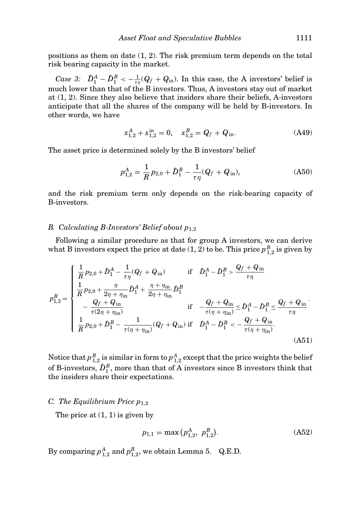positions as them on date (1, 2). The risk premium term depends on the total risk bearing capacity in the market.

*Case 3:*  $\hat{D}_1^A - \hat{D}_1^B < -\frac{1}{\tau \eta} (Q_f + Q_{\text{in}})$ . In this case, the A investors' belief is much lower than that of the B investors. Thus, A investors stay out of market at (1, 2). Since they also believe that insiders share their beliefs, A-investors anticipate that all the shares of the company will be held by B-investors. In other words, we have

$$
x_{1,2}^A + x_{1,2}^{\text{in}} = 0, \quad x_{1,2}^B = Q_f + Q_{\text{in}}.\tag{A49}
$$

The asset price is determined solely by the B investors' belief

$$
p_{1,2}^A = \frac{1}{R}p_{2,0} + \hat{D}_1^B - \frac{1}{\tau \eta}(Q_f + Q_{\text{in}}),
$$
 (A50)

and the risk premium term only depends on the risk-bearing capacity of B-investors.

# *B. Calculating B-Investors' Belief about p*1,2

Following a similar procedure as that for group A investors, we can derive what B investors expect the price at date  $(1, 2)$  to be. This price  $p_{1,2}^B$  is given by

$$
p_{1,2}^{B} = \begin{cases} \frac{1}{R}p_{2,0} + \hat{D}_{1}^{A} - \frac{1}{\tau\eta}(Q_{f} + Q_{\text{in}}) & \text{if } \hat{D}_{1}^{A} - \hat{D}_{1}^{B} > \frac{Q_{f} + Q_{\text{in}}}{\tau\eta} \\ \frac{1}{R}p_{2,0} + \frac{\eta}{2\eta + \eta_{\text{in}}}\hat{D}_{1}^{A} + \frac{\eta + \eta_{\text{in}}}{2\eta + \eta_{\text{in}}}\hat{D}_{1}^{B} \\ -\frac{Q_{f} + Q_{\text{in}}}{\tau(2\eta + \eta_{\text{in}})} & \text{if } -\frac{Q_{f} + Q_{\text{in}}}{\tau(\eta + \eta_{\text{in}})} \leq \hat{D}_{1}^{A} - \hat{D}_{1}^{B} \leq \frac{Q_{f} + Q_{\text{in}}}{\tau\eta} \\ \frac{1}{R}p_{2,0} + \hat{D}_{1}^{B} - \frac{1}{\tau(\eta + \eta_{\text{in}})}(Q_{f} + Q_{\text{in}}) & \text{if } \hat{D}_{1}^{A} - \hat{D}_{1}^{B} < -\frac{Q_{f} + Q_{\text{in}}}{\tau(\eta + \eta_{\text{in}})}. \end{cases}
$$
\n(A51)

Notice that  $p_{1,2}^B$  is similar in form to  $p_{1,2}^A$  except that the price weights the belief of B-investors,  $\hat{D}_1^B$ , more than that of A investors since B investors think that the insiders share their expectations.

## *C. The Equilibrium Price p*1,2

The price at  $(1, 1)$  is given by

$$
p_{1,1} = \max\left(p_{1,2}^A, \ p_{1,2}^B\right). \tag{A52}
$$

By comparing  $p_{1,2}^A$  and  $p_{1,2}^B$ , we obtain Lemma 5. Q.E.D.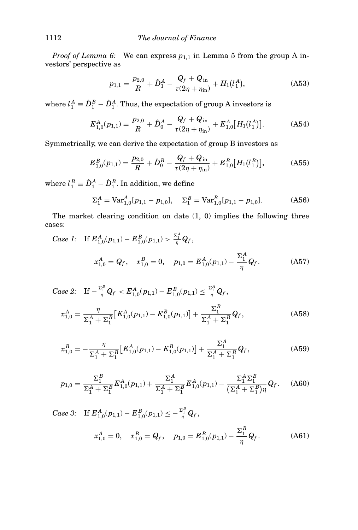*Proof of Lemma 6:* We can express  $p_{1,1}$  in Lemma 5 from the group A investors' perspective as

$$
p_{1,1} = \frac{p_{2,0}}{R} + \hat{D}_1^A - \frac{Q_f + Q_{\text{in}}}{\tau(2\eta + \eta_{\text{in}})} + H_1(l_1^A),
$$
 (A53)

where  $l_1^A \equiv \hat{D}_1^B - \hat{D}_1^A$ . Thus, the expectation of group A investors is

$$
E_{1,0}^{A}(p_{1,1}) = \frac{p_{2,0}}{R} + \hat{D}_0^{A} - \frac{Q_f + Q_{\text{in}}}{\tau(2\eta + \eta_{\text{in}})} + E_{1,0}^{A}[H_1(l_1^A)]. \tag{A54}
$$

Symmetrically, we can derive the expectation of group B investors as

$$
E_{1,0}^{B}(p_{1,1}) = \frac{p_{2,0}}{R} + \hat{D}_0^B - \frac{Q_f + Q_{\text{in}}}{\tau(2\eta + \eta_{\text{in}})} + E_{1,0}^B[H_1(l_1^B)],\tag{A55}
$$

where  $l_1^B \equiv \hat{D}_1^A - \hat{D}_1^B$ . In addition, we define

$$
\Sigma_1^A = \text{Var}_{1,0}^A[p_{1,1} - p_{1,0}], \quad \Sigma_1^B = \text{Var}_{1,0}^B[p_{1,1} - p_{1,0}]. \tag{A56}
$$

The market clearing condition on date  $(1, 0)$  implies the following three cases:

Case 1: If 
$$
E_{1,0}^{A}(p_{1,1}) - E_{1,0}^{B}(p_{1,1}) > \frac{\Sigma_{1}^{A}}{\eta} Q_{f}
$$
,  
\n $x_{1,0}^{A} = Q_{f}$ ,  $x_{1,0}^{B} = 0$ ,  $p_{1,0} = E_{1,0}^{A}(p_{1,1}) - \frac{\Sigma_{1}^{A}}{\eta} Q_{f}$ . (A57)

 $\textit{Case 2:} \quad \text{If } -\frac{\Sigma_1^B}{\eta}Q_f \, <\, E_{1,0}^A(p_{1,1})-E_{1,0}^B(p_{1,1})\leq \frac{\Sigma_1^A}{\eta}Q_f,$  $x^A_{1,0} =$ η  $\Sigma_1^A + \Sigma_1^B$  $\left[ E_{1,0}^{A}(p_{1,1}) - E_{1,0}^{B}(p_{1,1}) \right] +$  $\frac{\Sigma_1^B}{\Sigma_1^A + \Sigma_1^B}$ *Qf*  $( A58)$ 

$$
x_{1,0}^B = -\frac{\eta}{\Sigma_1^A + \Sigma_1^B} \left[ E_{1,0}^A(p_{1,1}) - E_{1,0}^B(p_{1,1}) \right] + \frac{\Sigma_1^A}{\Sigma_1^A + \Sigma_1^B} Q_f, \tag{A59}
$$

$$
p_{1,0} = \frac{\Sigma_1^B}{\Sigma_1^A + \Sigma_1^B} E_{1,0}^A(p_{1,1}) + \frac{\Sigma_1^A}{\Sigma_1^A + \Sigma_1^B} E_{1,0}^A(p_{1,1}) - \frac{\Sigma_1^A \Sigma_1^B}{(\Sigma_1^A + \Sigma_1^B)\eta} Q_f.
$$
 (A60)

 $\textit{Case 3:} \quad \text{If} \ E_{1,0}^{A}(p_{1,1}) - E_{1,0}^{B}(p_{1,1}) \leq -\frac{\Sigma_{1}^{B}}{\eta}Q_{f},$  $x_{1,0}^A = 0$ ,  $x_{1,0}^B = Q_f$ ,  $p_{1,0} = E_{1,0}^B(p_{1,1})$  –  $\Sigma_1^B$  $\frac{1}{\eta}Q_f$ . (A61)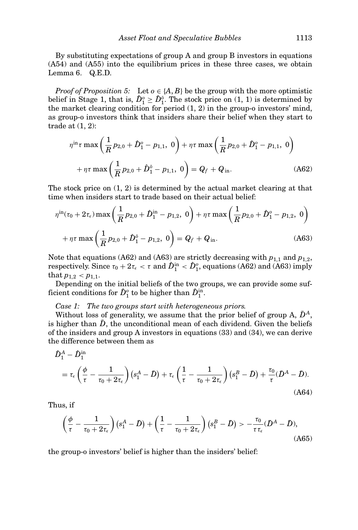By substituting expectations of group A and group B investors in equations (A54) and (A55) into the equilibrium prices in these three cases, we obtain Lemma 6. Q.E.D.

*Proof of Proposition 5:* Let  $o \in \{A, B\}$  be the group with the more optimistic belief in Stage 1, that is,  $\hat{D}_1^o \geq \hat{D}_1^{\bar{o}}$ . The stock price on  $(1, 1)$  is determined by the market clearing condition for period (1, 2) in the group-o investors' mind, as group-o investors think that insiders share their belief when they start to trade at (1, 2):

$$
\eta^{\text{in}}\tau \max\left(\frac{1}{R}p_{2,0} + \hat{D}_1^o - p_{1,1}, 0\right) + \eta \tau \max\left(\frac{1}{R}p_{2,0} + \hat{D}_1^o - p_{1,1}, 0\right) + \eta \tau \max\left(\frac{1}{R}p_{2,0} + \hat{D}_1^o - p_{1,1}, 0\right) = Q_f + Q_{\text{in}}.
$$
 (A62)

The stock price on  $(1, 2)$  is determined by the actual market clearing at that time when insiders start to trade based on their actual belief:

$$
\eta^{\text{in}}(\tau_0 + 2\tau_{\epsilon}) \max\left(\frac{1}{R}p_{2,0} + \hat{D}_1^{\text{in}} - p_{1,2}, 0\right) + \eta \tau \max\left(\frac{1}{R}p_{2,0} + \hat{D}_1^o - p_{1,2}, 0\right) + \eta \tau \max\left(\frac{1}{R}p_{2,0} + \hat{D}_1^o - p_{1,2}, 0\right) = Q_f + Q_{\text{in}}.
$$
\n(A63)

Note that equations (A62) and (A63) are strictly decreasing with  $p_{1,1}$  and  $p_{1,2}$ ,  $\text{respectively. Since } \tau_0+2\tau_\epsilon < \tau \text{ and } \hat{D}_1^{\text{in}} < \hat{D}_1^o, \text{ equations (A62) and (A63) imply}$ that  $p_{1,2} < p_{1,1}$ .

Depending on the initial beliefs of the two groups, we can provide some sufficient conditions for  $\hat{D}_1^o$  to be higher than  $\hat{D}_1^{\text{in}}$ .

# *Case 1: The two groups start with heterogeneous priors.*

Without loss of generality, we assume that the prior belief of group A,  $\bar{D}^{A}$ , is higher than  $\bar{D}$ , the unconditional mean of each dividend. Given the beliefs of the insiders and group A investors in equations (33) and (34), we can derive the difference between them as

$$
\hat{D}_1^A - \hat{D}_1^{\text{in}} \\
= \tau_{\epsilon} \left( \frac{\phi}{\tau} - \frac{1}{\tau_0 + 2\tau_{\epsilon}} \right) \left( s_1^A - \bar{D} \right) + \tau_{\epsilon} \left( \frac{1}{\tau} - \frac{1}{\tau_0 + 2\tau_{\epsilon}} \right) \left( s_1^B - \bar{D} \right) + \frac{\tau_0}{\tau} (\bar{D}^A - \bar{D}).
$$
\n(A64)

Thus, if

$$
\left(\frac{\phi}{\tau} - \frac{1}{\tau_0 + 2\tau_\epsilon}\right) \left(s_1^A - \bar{D}\right) + \left(\frac{1}{\tau} - \frac{1}{\tau_0 + 2\tau_\epsilon}\right) \left(s_1^B - \bar{D}\right) > -\frac{\tau_0}{\tau \tau_\epsilon} (\bar{D}^A - \bar{D}),\tag{A65}
$$

the group-o investors' belief is higher than the insiders' belief: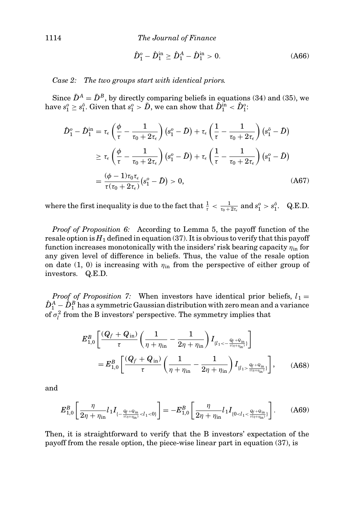1114 *The Journal of Finance*

$$
\hat{D}_1^o - \hat{D}_1^{\text{in}} \ge \hat{D}_1^A - \hat{D}_1^{\text{in}} > 0. \tag{A66}
$$

*Case 2: The two groups start with identical priors.*

Since  $\bar{D}^A = \bar{D}^B$ , by directly comparing beliefs in equations (34) and (35), we  $\Delta \text{ have } s_1^o \geq s_1^{\bar{o}}. \text{ Given that } s_1^o > \bar{D}, \text{ we can show that } \hat{D}_1^{\text{in}} < \hat{D}_1^o.$ 

$$
\hat{D}_1^o - \hat{D}_1^{\text{in}} = \tau_{\epsilon} \left( \frac{\phi}{\tau} - \frac{1}{\tau_0 + 2\tau_{\epsilon}} \right) \left( s_1^o - \bar{D} \right) + \tau_{\epsilon} \left( \frac{1}{\tau} - \frac{1}{\tau_0 + 2\tau_{\epsilon}} \right) \left( s_1^{\bar{o}} - \bar{D} \right)
$$
\n
$$
\geq \tau_{\epsilon} \left( \frac{\phi}{\tau} - \frac{1}{\tau_0 + 2\tau_{\epsilon}} \right) \left( s_1^o - \bar{D} \right) + \tau_{\epsilon} \left( \frac{1}{\tau} - \frac{1}{\tau_0 + 2\tau_{\epsilon}} \right) \left( s_1^o - \bar{D} \right)
$$
\n
$$
= \frac{(\phi - 1)\tau_0 \tau_{\epsilon}}{\tau(\tau_0 + 2\tau_{\epsilon})} \left( s_1^o - \bar{D} \right) > 0,
$$
\n(A67)

where the first inequality is due to the fact that  $\frac{1}{\tau} < \frac{1}{\tau_0 + 2\tau_{\epsilon}}$  and  $s_1^o > s_1^{\bar{o}}$ . Q.E.D.

*Proof of Proposition 6:* According to Lemma 5, the payoff function of the resale option is  $H_1$  defined in equation (37). It is obvious to verify that this payoff function increases monotonically with the insiders' risk bearing capacity  $\eta_{\text{in}}$  for any given level of difference in beliefs. Thus, the value of the resale option on date (1, 0) is increasing with  $\eta_{\text{in}}$  from the perspective of either group of investors. Q.E.D.

*Proof of Proposition 7:* When investors have identical prior beliefs,  $l_1 =$  $\hat{D}_{1}^{A}-\hat{D}_{1}^{B}$  has a symmetric Gaussian distribution with zero mean and a variance of  $\sigma_l^2$  from the B investors' perspective. The symmetry implies that

$$
E_{1,0}^{B} \left[ \frac{(Q_f + Q_{\rm in})}{\tau} \left( \frac{1}{\eta + \eta_{\rm in}} - \frac{1}{2\eta + \eta_{\rm in}} \right) I_{\{l_1 < -\frac{Q_f + Q_{\rm in}}{\tau(\eta + \eta_{\rm in})}\}} \right]
$$
  
= 
$$
E_{1,0}^{B} \left[ \frac{(Q_f + Q_{\rm in})}{\tau} \left( \frac{1}{\eta + \eta_{\rm in}} - \frac{1}{2\eta + \eta_{\rm in}} \right) I_{\{l_1 > \frac{Q_f + Q_{\rm in}}{\tau(\eta + \eta_{\rm in})}\}} \right],
$$
 (A68)

and

$$
E_{1,0}^{B} \left[ \frac{\eta}{2\eta + \eta_{\text{in}}} l_1 I_{\left\{ -\frac{Q_f + Q_{\text{in}}}{\tau(\eta + \eta_{\text{in}})} < l_1 < 0 \right\}} \right] = -E_{1,0}^{B} \left[ \frac{\eta}{2\eta + \eta_{\text{in}}} l_1 I_{\left\{0 < l_1 < \frac{Q_f + Q_{\text{in}}}{\tau(\eta + \eta_{\text{in}})}\right\}} \right]. \tag{A69}
$$

Then, it is straightforward to verify that the B investors' expectation of the payoff from the resale option, the piece-wise linear part in equation (37), is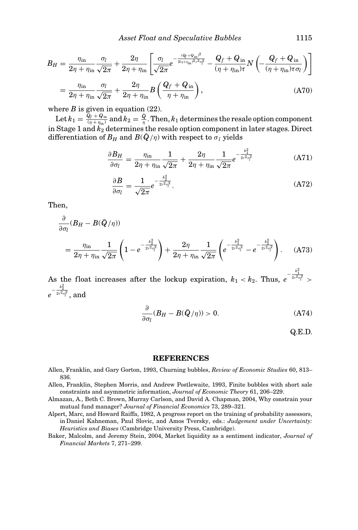$$
B_H = \frac{\eta_{\text{in}}}{2\eta + \eta_{\text{in}}} \frac{\sigma_l}{\sqrt{2\pi}} + \frac{2\eta}{2\eta + \eta_{\text{in}}} \left[ \frac{\sigma_l}{\sqrt{2\pi}} e^{-\frac{(Q_f + Q_{\text{in}})^2}{2(\eta + \eta_{\text{in}})^2 \cdot 2\sigma_l^2}} - \frac{Q_f + Q_{\text{in}}}{(\eta + \eta_{\text{in}})\tau} N \left( -\frac{Q_f + Q_{\text{in}}}{(\eta + \eta_{\text{in}})\tau \sigma_l} \right) \right]
$$
  
= 
$$
\frac{\eta_{\text{in}}}{2\eta + \eta_{\text{in}}} \frac{\sigma_l}{\sqrt{2\pi}} + \frac{2\eta}{2\eta + \eta_{\text{in}}} B \left( \frac{Q_f + Q_{\text{in}}}{\eta + \eta_{\text{in}}} \right),
$$
(A70)

where  $B$  is given in equation  $(22)$ .

 $\text{Let } k_1 = \frac{Q_f + Q_{\text{in}}}{(\eta + \eta_{\text{in}})}$  $\frac{Q_f+Q_{\rm in}}{(\eta+\eta_{\rm in})}$  and  $k_2=\frac{\bar{Q}_{\eta}}{\eta}$  $\frac{Q}{\eta}$  . Then,  $k_1$  determines the resale option component in Stage  $1$  and  $k_2$  determines the resale option component in later stages. Direct differentiation of  $B_H$  and  $B(\bar{Q}/\eta)$  with respect to  $\sigma_l$  yields

$$
\frac{\partial B_H}{\partial \sigma_l} = \frac{\eta_{\rm in}}{2\eta + \eta_{\rm in}} \frac{1}{\sqrt{2\pi}} + \frac{2\eta}{2\eta + \eta_{\rm in}} \frac{1}{\sqrt{2\pi}} e^{-\frac{k_1^2}{2\tau^2 \sigma_l^2}} \tag{A71}
$$

$$
\frac{\partial B}{\partial \sigma_l} = \frac{1}{\sqrt{2\pi}} e^{-\frac{k_2^2}{2r^2 \sigma_l^2}}.
$$
\n(A72)

Then,

$$
\frac{\partial}{\partial \sigma_l} (B_H - B(\bar{Q}/\eta))
$$
\n
$$
= \frac{\eta_{\text{in}}}{2\eta + \eta_{\text{in}}} \frac{1}{\sqrt{2\pi}} \left( 1 - e^{-\frac{k_2^2}{2t^2 \sigma_l^2}} \right) + \frac{2\eta}{2\eta + \eta_{\text{in}}} \frac{1}{\sqrt{2\pi}} \left( e^{-\frac{k_1^2}{2t^2 \sigma_l^2}} - e^{-\frac{k_2^2}{2t^2 \sigma_l^2}} \right). \quad (A73)
$$

As the float increases after the lockup expiration,  $k_1 < k_2$ . Thus,  $e^{-\frac{k_1^2}{2r^2\sigma_l^2}} >$  $e^{-\frac{k_{2}^{2}}{2\tau^{2}\sigma_{l}^{2}}},$  and

$$
\frac{\partial}{\partial \sigma_l} (B_H - B(\bar{Q}/\eta)) > 0. \tag{A74}
$$

$$
Q.E.D.
$$

## **REFERENCES**

- Allen, Franklin, and Gary Gorton, 1993, Churning bubbles, *Review of Economic Studies* 60, 813– 836.
- Allen, Franklin, Stephen Morris, and Andrew Postlewaite, 1993, Finite bubbles with short sale constraints and asymmetric information, *Journal of Economic Theory* 61, 206–229.
- Almazan, A., Beth C. Brown, Murray Carlson, and David A. Chapman, 2004, Why constrain your mutual fund manager? *Journal of Financial Economics* 73, 289–321.
- Alpert, Marc, and Howard Raiffa, 1982, A progress report on the training of probability assessors, in Daniel Kahneman, Paul Slovic, and Amos Tversky, eds.: *Judgement under Uncertainty: Heuristics and Biases* (Cambridge University Press, Cambridge).
- Baker, Malcolm, and Jeremy Stein, 2004, Market liquidity as a sentiment indicator, *Journal of Financial Markets* 7, 271–299.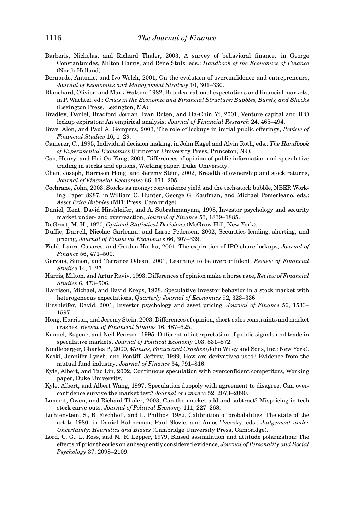- Barberis, Nicholas, and Richard Thaler, 2003, A survey of behavioral finance, in George Constantinides, Milton Harris, and Rene Stulz, eds.: *Handbook of the Economics of Finance* (North-Holland).
- Bernardo, Antonio, and Ivo Welch, 2001, On the evolution of overconfidence and entrepreneurs, *Journal of Economics and Management Strategy* 10, 301–330.
- Blanchard, Olivier, and Mark Watson, 1982, Bubbles, rational expectations and financial markets, in P. Wachtel, ed.: *Crisis in the Economic and Financial Structure: Bubbles, Bursts, and Shocks* (Lexington Press, Lexington, MA).
- Bradley, Daniel, Bradford Jordan, Ivan Roten, and Ha-Chin Yi, 2001, Venture capital and IPO lockup expiraton: An empirical analysis, *Journal of Financial Research* 24, 465–494.
- Brav, Alon, and Paul A. Gompers, 2003, The role of lockups in initial public offerings, *Review of Financial Studies* 16, 1–29.
- Camerer, C., 1995, Individual decision making, in John Kagel and Alvin Roth, eds.: *The Handbook of Experimental Economics* (Princeton University Press, Princeton, NJ).
- Cao, Henry, and Hui Ou-Yang, 2004, Differences of opinion of public information and speculative trading in stocks and options, Working paper, Duke University.
- Chen, Joseph, Harrison Hong, and Jeremy Stein, 2002, Breadth of ownership and stock returns, *Journal of Financial Economics* 66, 171–205.
- Cochrane, John, 2003, Stocks as money: convenience yield and the tech-stock bubble, NBER Working Paper 8987, in William C. Hunter, George G. Kaufman, and Michael Pomerleano, eds.: *Asset Price Bubbles* (MIT Press, Cambridge).
- Daniel, Kent, David Hirshleifer, and A. Subrahmanyam, 1998, Investor psychology and security market under- and overreaction, *Journal of Finance* 53, 1839–1885.
- DeGroot, M. H., 1970, *Optimal Statistical Decisions* (McGraw Hill, New York).
- Duffie, Darrell, Nicolae Garleanu, and Lasse Pedersen, 2002, Securities lending, shorting, and pricing, *Journal of Financial Economics* 66, 307–339.
- Field, Laura Casares, and Gordon Hanka, 2001, The expiration of IPO share lockups, *Journal of Finance* 56, 471–500.
- Gervais, Simon, and Terrance Odean, 2001, Learning to be overconfident, *Review of Financial Studies* 14, 1–27.
- Harris, Milton, and Artur Raviv, 1993, Differences of opinion make a horse race, *Review of Financial Studies* 6, 473–506.
- Harrison, Michael, and David Kreps, 1978, Speculative investor behavior in a stock market with heterogeneous expectations, *Quarterly Journal of Economics* 92, 323–336.
- Hirshleifer, David, 2001, Investor psychology and asset pricing, *Journal of Finance* 56, 1533– 1597.
- Hong, Harrison, and Jeremy Stein, 2003, Differences of opinion, short-sales constraints and market crashes, *Review of Financial Studies* 16, 487–525.
- Kandel, Eugene, and Neil Pearson, 1995, Differential interpretation of public signals and trade in speculative markets, *Journal of Political Economy* 103, 831–872.
- Kindleberger, Charles P., 2000, *Manias, Panics and Crashes* (John Wiley and Sons, Inc.: New York).
- Koski, Jennifer Lynch, and Pontiff, Jeffrey, 1999, How are derivatives used? Evidence from the mutual fund industry, *Journal of Finance* 54, 791–816.
- Kyle, Albert, and Tao Lin, 2002, Continuous speculation with overconfident competitors, Working paper, Duke University.
- Kyle, Albert, and Albert Wang, 1997, Speculation duopoly with agreement to disagree: Can overconfidence survive the market test? *Journal of Finance* 52, 2073–2090.
- Lamont, Owen, and Richard Thaler, 2003, Can the market add and subtract? Mispricing in tech stock carve-outs, *Journal of Political Economy* 111, 227–268.
- Lichtenstein, S., B. Fischhoff, and L. Phillips, 1982, Calibration of probabilities: The state of the art to 1980, in Daniel Kahneman, Paul Slovic, and Amos Tversky, eds.: *Judgement under Uncertainty: Heuristics and Biases* (Cambridge University Press, Cambridge).
- Lord, C. G., L. Ross, and M. R. Lepper, 1979, Biased assimilation and attitude polarization: The effects of prior theories on subsequently considered evidence, *Journal of Personality and Social Psychology* 37, 2098–2109.